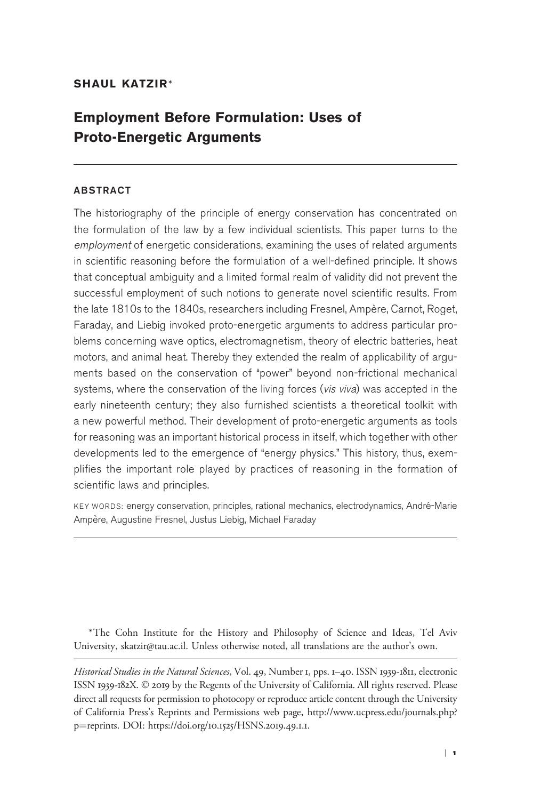## SHAUL KATZIR\*

# Employment Before Formulation: Uses of Proto-Energetic Arguments

### ABSTRACT

The historiography of the principle of energy conservation has concentrated on the formulation of the law by a few individual scientists. This paper turns to the employment of energetic considerations, examining the uses of related arguments in scientific reasoning before the formulation of a well-defined principle. It shows that conceptual ambiguity and a limited formal realm of validity did not prevent the successful employment of such notions to generate novel scientific results. From the late 1810s to the 1840s, researchers including Fresnel, Ampère, Carnot, Roget, Faraday, and Liebig invoked proto-energetic arguments to address particular problems concerning wave optics, electromagnetism, theory of electric batteries, heat motors, and animal heat. Thereby they extended the realm of applicability of arguments based on the conservation of "power" beyond non-frictional mechanical systems, where the conservation of the living forces (vis viva) was accepted in the early nineteenth century; they also furnished scientists a theoretical toolkit with a new powerful method. Their development of proto-energetic arguments as tools for reasoning was an important historical process in itself, which together with other developments led to the emergence of "energy physics." This history, thus, exemplifies the important role played by practices of reasoning in the formation of scientific laws and principles.

KEY WORDS: energy conservation, principles, rational mechanics, electrodynamics, Andre-Marie ´ Ampère, Augustine Fresnel, Justus Liebig, Michael Faraday

\*The Cohn Institute for the History and Philosophy of Science and Ideas, Tel Aviv University, skatzir@tau.ac.il. Unless otherwise noted, all translations are the author's own.

Historical Studies in the Natural Sciences, Vol. 49, Number 1, pps. 1–40. ISSN 1939-1811, electronic ISSN 1939-182X. © 2019 by the Regents of the University of California. All rights reserved. Please direct all requests for permission to photocopy or reproduce article content through the University of California Press's Reprints and Permissions web page, [http://www.ucpress.edu/journals.php?](http://www.ucpress.edu/journals.php?p=reprints) [p](http://www.ucpress.edu/journals.php?p=reprints)=[reprints.](http://www.ucpress.edu/journals.php?p=reprints) [DOI: https://doi.org/](https://doi.org/10.1525/HSNS.2019.49.1.1)10.1525/HSNS.2019.49.1.1.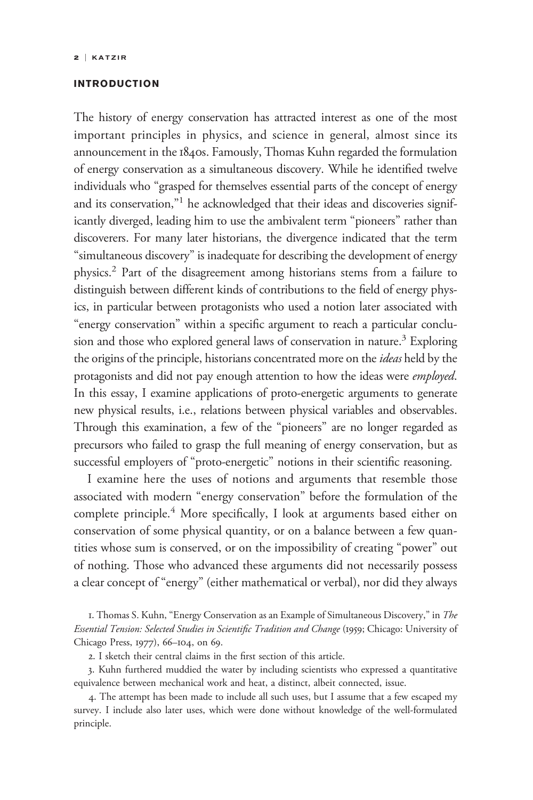## INTRODUCTION

The history of energy conservation has attracted interest as one of the most important principles in physics, and science in general, almost since its announcement in the 1840s. Famously, Thomas Kuhn regarded the formulation of energy conservation as a simultaneous discovery. While he identified twelve individuals who "grasped for themselves essential parts of the concept of energy and its conservation,"<sup>1</sup> he acknowledged that their ideas and discoveries significantly diverged, leading him to use the ambivalent term "pioneers" rather than discoverers. For many later historians, the divergence indicated that the term "simultaneous discovery" is inadequate for describing the development of energy physics.2 Part of the disagreement among historians stems from a failure to distinguish between different kinds of contributions to the field of energy physics, in particular between protagonists who used a notion later associated with "energy conservation" within a specific argument to reach a particular conclusion and those who explored general laws of conservation in nature.<sup>3</sup> Exploring the origins of the principle, historians concentrated more on the ideas held by the protagonists and did not pay enough attention to how the ideas were *employed*. In this essay, I examine applications of proto-energetic arguments to generate new physical results, i.e., relations between physical variables and observables. Through this examination, a few of the "pioneers" are no longer regarded as precursors who failed to grasp the full meaning of energy conservation, but as successful employers of "proto-energetic" notions in their scientific reasoning.

I examine here the uses of notions and arguments that resemble those associated with modern "energy conservation" before the formulation of the complete principle.<sup>4</sup> More specifically, I look at arguments based either on conservation of some physical quantity, or on a balance between a few quantities whose sum is conserved, or on the impossibility of creating "power" out of nothing. Those who advanced these arguments did not necessarily possess a clear concept of "energy" (either mathematical or verbal), nor did they always

1. Thomas S. Kuhn, "Energy Conservation as an Example of Simultaneous Discovery," in The Essential Tension: Selected Studies in Scientific Tradition and Change (1959; Chicago: University of Chicago Press, 1977), 66–104, on 69.

2. I sketch their central claims in the first section of this article.

3. Kuhn furthered muddied the water by including scientists who expressed a quantitative equivalence between mechanical work and heat, a distinct, albeit connected, issue.

4. The attempt has been made to include all such uses, but I assume that a few escaped my survey. I include also later uses, which were done without knowledge of the well-formulated principle.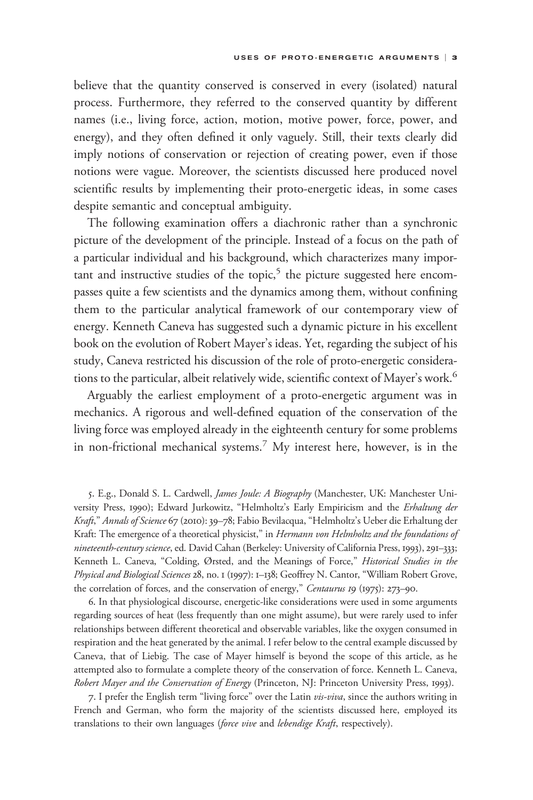believe that the quantity conserved is conserved in every (isolated) natural process. Furthermore, they referred to the conserved quantity by different names (i.e., living force, action, motion, motive power, force, power, and energy), and they often defined it only vaguely. Still, their texts clearly did imply notions of conservation or rejection of creating power, even if those notions were vague. Moreover, the scientists discussed here produced novel scientific results by implementing their proto-energetic ideas, in some cases despite semantic and conceptual ambiguity.

The following examination offers a diachronic rather than a synchronic picture of the development of the principle. Instead of a focus on the path of a particular individual and his background, which characterizes many important and instructive studies of the topic,<sup>5</sup> the picture suggested here encompasses quite a few scientists and the dynamics among them, without confining them to the particular analytical framework of our contemporary view of energy. Kenneth Caneva has suggested such a dynamic picture in his excellent book on the evolution of Robert Mayer's ideas. Yet, regarding the subject of his study, Caneva restricted his discussion of the role of proto-energetic considerations to the particular, albeit relatively wide, scientific context of Mayer's work.<sup>6</sup>

Arguably the earliest employment of a proto-energetic argument was in mechanics. A rigorous and well-defined equation of the conservation of the living force was employed already in the eighteenth century for some problems in non-frictional mechanical systems.<sup>7</sup> My interest here, however, is in the

5. E.g., Donald S. L. Cardwell, James Joule: A Biography (Manchester, UK: Manchester University Press, 1990); Edward Jurkowitz, "Helmholtz's Early Empiricism and the Erhaltung der Kraft," Annals of Science 67 (2010): 39-78; Fabio Bevilacqua, "Helmholtz's Ueber die Erhaltung der Kraft: The emergence of a theoretical physicist," in Hermann von Helmholtz and the foundations of nineteenth-century science, ed. David Cahan (Berkeley: University of California Press, 1993), 291–333; Kenneth L. Caneva, "Colding, Ørsted, and the Meanings of Force," Historical Studies in the Physical and Biological Sciences 28, no. 1 (1997): 1-138; Geoffrey N. Cantor, "William Robert Grove, the correlation of forces, and the conservation of energy," Centaurus 19 (1975): 273-90.

6. In that physiological discourse, energetic-like considerations were used in some arguments regarding sources of heat (less frequently than one might assume), but were rarely used to infer relationships between different theoretical and observable variables, like the oxygen consumed in respiration and the heat generated by the animal. I refer below to the central example discussed by Caneva, that of Liebig. The case of Mayer himself is beyond the scope of this article, as he attempted also to formulate a complete theory of the conservation of force. Kenneth L. Caneva, Robert Mayer and the Conservation of Energy (Princeton, NJ: Princeton University Press, 1993).

7. I prefer the English term "living force" over the Latin vis-viva, since the authors writing in French and German, who form the majority of the scientists discussed here, employed its translations to their own languages (force vive and lebendige Kraft, respectively).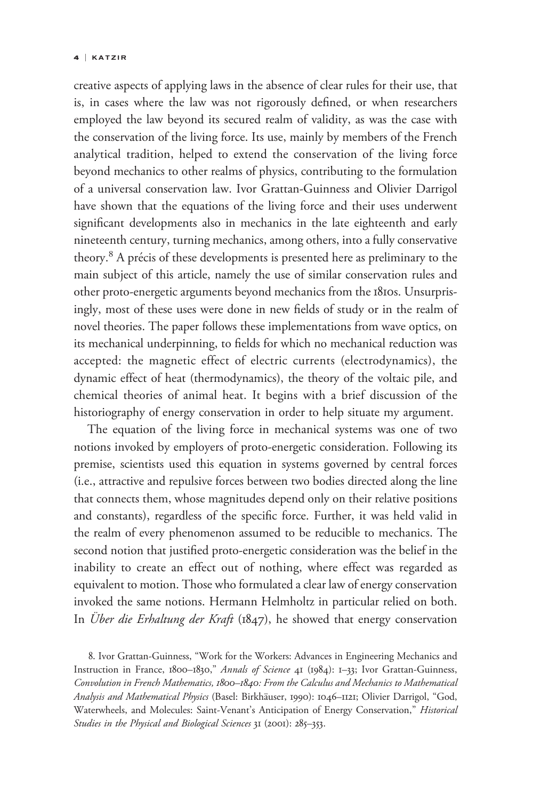#### 4 | KATZIR

creative aspects of applying laws in the absence of clear rules for their use, that is, in cases where the law was not rigorously defined, or when researchers employed the law beyond its secured realm of validity, as was the case with the conservation of the living force. Its use, mainly by members of the French analytical tradition, helped to extend the conservation of the living force beyond mechanics to other realms of physics, contributing to the formulation of a universal conservation law. Ivor Grattan-Guinness and Olivier Darrigol have shown that the equations of the living force and their uses underwent significant developments also in mechanics in the late eighteenth and early nineteenth century, turning mechanics, among others, into a fully conservative theory.<sup>8</sup> A précis of these developments is presented here as preliminary to the main subject of this article, namely the use of similar conservation rules and other proto-energetic arguments beyond mechanics from the 1810s. Unsurprisingly, most of these uses were done in new fields of study or in the realm of novel theories. The paper follows these implementations from wave optics, on its mechanical underpinning, to fields for which no mechanical reduction was accepted: the magnetic effect of electric currents (electrodynamics), the dynamic effect of heat (thermodynamics), the theory of the voltaic pile, and chemical theories of animal heat. It begins with a brief discussion of the historiography of energy conservation in order to help situate my argument.

The equation of the living force in mechanical systems was one of two notions invoked by employers of proto-energetic consideration. Following its premise, scientists used this equation in systems governed by central forces (i.e., attractive and repulsive forces between two bodies directed along the line that connects them, whose magnitudes depend only on their relative positions and constants), regardless of the specific force. Further, it was held valid in the realm of every phenomenon assumed to be reducible to mechanics. The second notion that justified proto-energetic consideration was the belief in the inability to create an effect out of nothing, where effect was regarded as equivalent to motion. Those who formulated a clear law of energy conservation invoked the same notions. Hermann Helmholtz in particular relied on both. In Über die Erhaltung der Kraft (1847), he showed that energy conservation

8. Ivor Grattan-Guinness, "Work for the Workers: Advances in Engineering Mechanics and Instruction in France, 1800-1830," Annals of Science 41 (1984): 1-33; Ivor Grattan-Guinness, Convolution in French Mathematics, 1800–1840: From the Calculus and Mechanics to Mathematical Analysis and Mathematical Physics (Basel: Birkhäuser, 1990): 1046-1121; Olivier Darrigol, "God, Waterwheels, and Molecules: Saint-Venant's Anticipation of Energy Conservation," Historical Studies in the Physical and Biological Sciences 31 (2001): 285-353.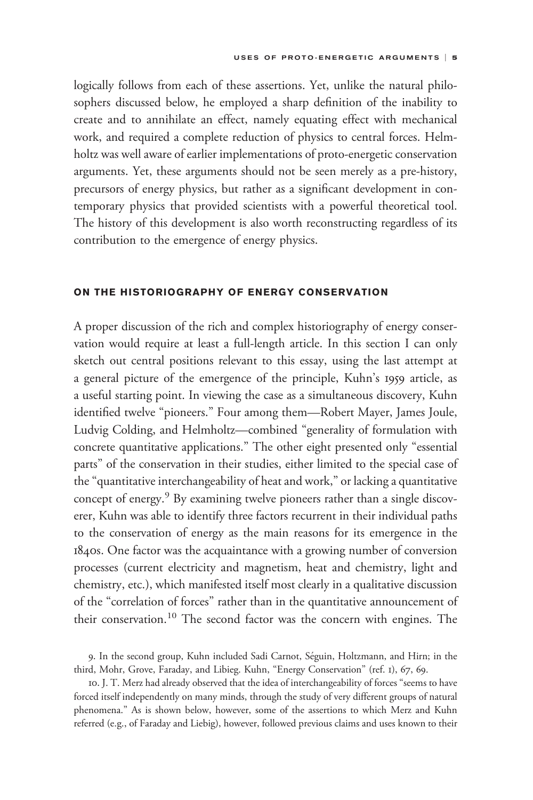logically follows from each of these assertions. Yet, unlike the natural philosophers discussed below, he employed a sharp definition of the inability to create and to annihilate an effect, namely equating effect with mechanical work, and required a complete reduction of physics to central forces. Helmholtz was well aware of earlier implementations of proto-energetic conservation arguments. Yet, these arguments should not be seen merely as a pre-history, precursors of energy physics, but rather as a significant development in contemporary physics that provided scientists with a powerful theoretical tool. The history of this development is also worth reconstructing regardless of its contribution to the emergence of energy physics.

## ON THE HISTORIOGRAPHY OF ENERGY CONSERVATION

A proper discussion of the rich and complex historiography of energy conservation would require at least a full-length article. In this section I can only sketch out central positions relevant to this essay, using the last attempt at a general picture of the emergence of the principle, Kuhn's 1959 article, as a useful starting point. In viewing the case as a simultaneous discovery, Kuhn identified twelve "pioneers." Four among them—Robert Mayer, James Joule, Ludvig Colding, and Helmholtz—combined "generality of formulation with concrete quantitative applications." The other eight presented only "essential parts" of the conservation in their studies, either limited to the special case of the "quantitative interchangeability of heat and work," or lacking a quantitative concept of energy.<sup>9</sup> By examining twelve pioneers rather than a single discoverer, Kuhn was able to identify three factors recurrent in their individual paths to the conservation of energy as the main reasons for its emergence in the 1840s. One factor was the acquaintance with a growing number of conversion processes (current electricity and magnetism, heat and chemistry, light and chemistry, etc.), which manifested itself most clearly in a qualitative discussion of the "correlation of forces" rather than in the quantitative announcement of their conservation.<sup>10</sup> The second factor was the concern with engines. The

<sup>9.</sup> In the second group, Kuhn included Sadi Carnot, Seguin, Holtzmann, and Hirn; in the ´ third, Mohr, Grove, Faraday, and Libieg. Kuhn, "Energy Conservation" (ref. 1), 67, 69.

<sup>10.</sup> J. T. Merz had already observed that the idea of interchangeability of forces "seems to have forced itself independently on many minds, through the study of very different groups of natural phenomena." As is shown below, however, some of the assertions to which Merz and Kuhn referred (e.g., of Faraday and Liebig), however, followed previous claims and uses known to their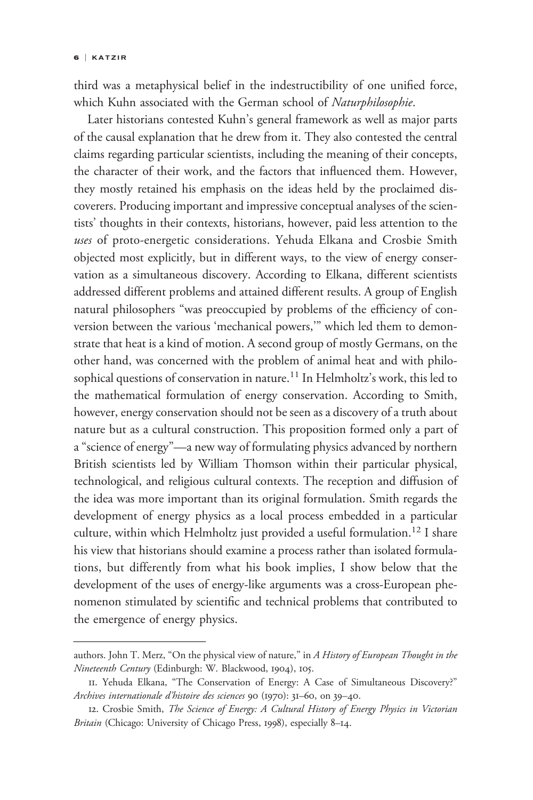third was a metaphysical belief in the indestructibility of one unified force, which Kuhn associated with the German school of Naturphilosophie.

Later historians contested Kuhn's general framework as well as major parts of the causal explanation that he drew from it. They also contested the central claims regarding particular scientists, including the meaning of their concepts, the character of their work, and the factors that influenced them. However, they mostly retained his emphasis on the ideas held by the proclaimed discoverers. Producing important and impressive conceptual analyses of the scientists' thoughts in their contexts, historians, however, paid less attention to the uses of proto-energetic considerations. Yehuda Elkana and Crosbie Smith objected most explicitly, but in different ways, to the view of energy conservation as a simultaneous discovery. According to Elkana, different scientists addressed different problems and attained different results. A group of English natural philosophers "was preoccupied by problems of the efficiency of conversion between the various 'mechanical powers,'" which led them to demonstrate that heat is a kind of motion. A second group of mostly Germans, on the other hand, was concerned with the problem of animal heat and with philosophical questions of conservation in nature.<sup>11</sup> In Helmholtz's work, this led to the mathematical formulation of energy conservation. According to Smith, however, energy conservation should not be seen as a discovery of a truth about nature but as a cultural construction. This proposition formed only a part of a "science of energy"—a new way of formulating physics advanced by northern British scientists led by William Thomson within their particular physical, technological, and religious cultural contexts. The reception and diffusion of the idea was more important than its original formulation. Smith regards the development of energy physics as a local process embedded in a particular culture, within which Helmholtz just provided a useful formulation.<sup>12</sup> I share his view that historians should examine a process rather than isolated formulations, but differently from what his book implies, I show below that the development of the uses of energy-like arguments was a cross-European phenomenon stimulated by scientific and technical problems that contributed to *uses* of proto-energetic considerably but in vation as a simultaneous discoveragetic considered most explicitly, but in vation as a simultaneous discoveraddressed different problems and natural philosophers "was preod ver the emergence of energy physics.

authors. John T. Merz, "On the physical view of nature," in A History of European Thought in the Nineteenth Century (Edinburgh: W. Blackwood, 1904), 105.

<sup>11.</sup> Yehuda Elkana, "The Conservation of Energy: A Case of Simultaneous Discovery?" Archives internationale d'histoire des sciences 90 (1970): 31–60, on 39–40.

<sup>12.</sup> Crosbie Smith, The Science of Energy: A Cultural History of Energy Physics in Victorian Britain (Chicago: University of Chicago Press, 1998), especially 8-14.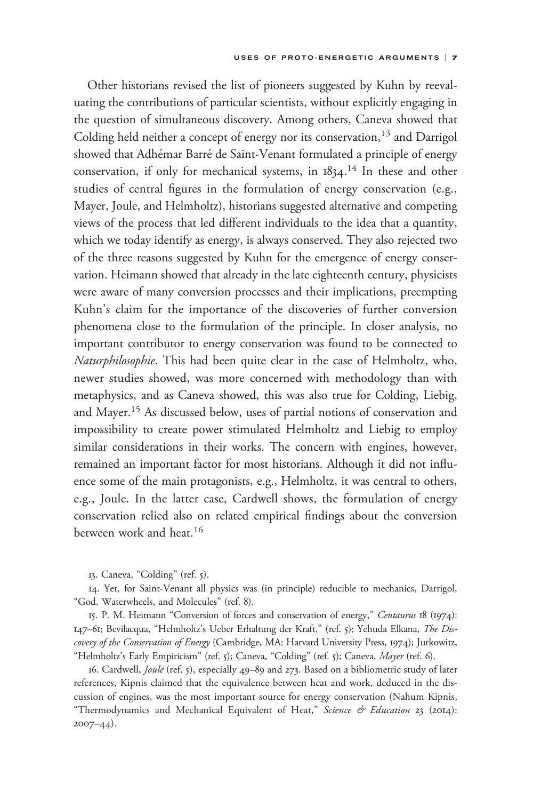Other historians revised the list of pioneers suggested by Kuhn by reevaluating the contributions of particular scientists, without explicitly engaging in the question of simultaneous discovery. Among others, Caneva showed that Colding held neither a concept of energy nor its conservation,<sup>13</sup> and Darrigol showed that Adhémar Barré de Saint-Venant formulated a principle of energy conservation, if only for mechanical systems, in 1834.<sup>14</sup> In these and other studies of central figures in the formulation of energy conservation (e.g., Mayer, Joule, and Helmholtz), historians suggested alternative and competing views of the process that led different individuals to the idea that a quantity, which we today identify as energy, is always conserved. They also rejected two of the three reasons suggested by Kuhn for the emergence of energy conservation. Heimann showed that already in the late eighteenth century, physicists were aware of many conversion processes and their implications, preempting Kuhn's claim for the importance of the discoveries of further conversion phenomena close to the formulation of the principle. In closer analysis, no important contributor to energy conservation was found to be connected to Naturphilosophie. This had been quite clear in the case of Helmholtz, who, newer studies showed, was more concerned with methodology than with metaphysics, and as Caneva showed, this was also true for Colding, Liebig, and Mayer.15 As discussed below, uses of partial notions of conservation and impossibility to create power stimulated Helmholtz and Liebig to employ similar considerations in their works. The concern with engines, however, remained an important factor for most historians. Although it did not influence some of the main protagonists, e.g., Helmholtz, it was central to others, e.g., Joule. In the latter case, Cardwell shows, the formulation of energy conservation relied also on related empirical findings about the conversion between work and heat.<sup>16</sup>

13. Caneva, "Colding" (ref. 5).

14. Yet, for Saint-Venant all physics was (in principle) reducible to mechanics, Darrigol, "God, Waterwheels, and Molecules" (ref. 8).

15. P. M. Heimann "Conversion of forces and conservation of energy," Centaurus 18 (1974): 147-61; Bevilacqua, "Helmholtz's Ueber Erhaltung der Kraft," (ref. 5); Yehuda Elkana, The Discovery of the Conservation of Energy (Cambridge, MA: Harvard University Press, 1974); Jurkowitz, "Helmholtz's Early Empiricism" (ref. 5); Caneva, "Colding" (ref. 5); Caneva, Mayer (ref. 6).

16. Cardwell, Joule (ref. 5), especially 49–89 and 273. Based on a bibliometric study of later references, Kipnis claimed that the equivalence between heat and work, deduced in the discussion of engines, was the most important source for energy conservation (Nahum Kipnis, "Thermodynamics and Mechanical Equivalent of Heat," Science & Education 23 (2014): 2007–44).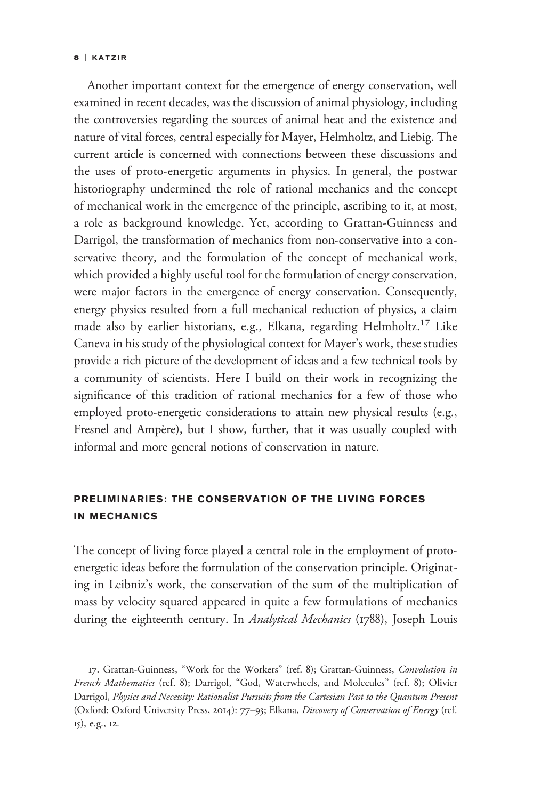#### 8 | KATZIR

Another important context for the emergence of energy conservation, well examined in recent decades, was the discussion of animal physiology, including the controversies regarding the sources of animal heat and the existence and nature of vital forces, central especially for Mayer, Helmholtz, and Liebig. The current article is concerned with connections between these discussions and the uses of proto-energetic arguments in physics. In general, the postwar historiography undermined the role of rational mechanics and the concept of mechanical work in the emergence of the principle, ascribing to it, at most, a role as background knowledge. Yet, according to Grattan-Guinness and Darrigol, the transformation of mechanics from non-conservative into a conservative theory, and the formulation of the concept of mechanical work, which provided a highly useful tool for the formulation of energy conservation, were major factors in the emergence of energy conservation. Consequently, energy physics resulted from a full mechanical reduction of physics, a claim made also by earlier historians, e.g., Elkana, regarding Helmholtz.<sup>17</sup> Like Caneva in his study of the physiological context for Mayer's work, these studies provide a rich picture of the development of ideas and a few technical tools by a community of scientists. Here I build on their work in recognizing the significance of this tradition of rational mechanics for a few of those who employed proto-energetic considerations to attain new physical results (e.g., Fresnel and Ampère), but I show, further, that it was usually coupled with informal and more general notions of conservation in nature.

## PRELIMINARIES: THE CONSERVATION OF THE LIVING FORCES IN MECHANICS

The concept of living force played a central role in the employment of protoenergetic ideas before the formulation of the conservation principle. Originating in Leibniz's work, the conservation of the sum of the multiplication of mass by velocity squared appeared in quite a few formulations of mechanics during the eighteenth century. In Analytical Mechanics (1788), Joseph Louis

17. Grattan-Guinness, "Work for the Workers" (ref. 8); Grattan-Guinness, Convolution in French Mathematics (ref. 8); Darrigol, "God, Waterwheels, and Molecules" (ref. 8); Olivier Darrigol, Physics and Necessity: Rationalist Pursuits from the Cartesian Past to the Quantum Present (Oxford: Oxford University Press, 2014): 77–93; Elkana, Discovery of Conservation of Energy (ref. 15), e.g., 12.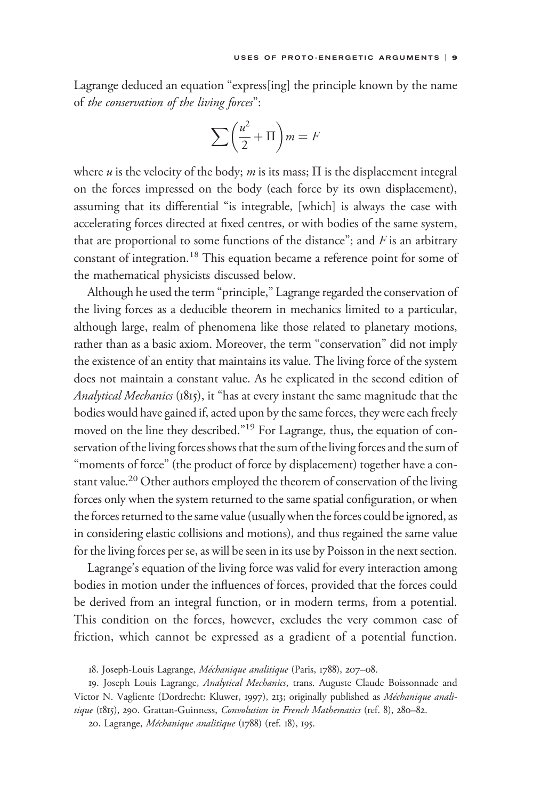Lagrange deduced an equation "express[ing] the principle known by the name of the conservation of the living forces":

$$
\sum \left(\frac{u^2}{2} + \Pi\right)m = F
$$

where  $u$  is the velocity of the body;  $m$  is its mass;  $\Pi$  is the displacement integral on the forces impressed on the body (each force by its own displacement), assuming that its differential "is integrable, [which] is always the case with accelerating forces directed at fixed centres, or with bodies of the same system, that are proportional to some functions of the distance"; and  $F$  is an arbitrary constant of integration.<sup>18</sup> This equation became a reference point for some of the mathematical physicists discussed below.

Although he used the term "principle," Lagrange regarded the conservation of the living forces as a deducible theorem in mechanics limited to a particular, although large, realm of phenomena like those related to planetary motions, rather than as a basic axiom. Moreover, the term "conservation" did not imply the existence of an entity that maintains its value. The living force of the system does not maintain a constant value. As he explicated in the second edition of Analytical Mechanics (1815), it "has at every instant the same magnitude that the bodies would have gained if, acted upon by the same forces, they were each freely moved on the line they described."<sup>19</sup> For Lagrange, thus, the equation of conservation of the living forces shows that the sum of the living forces and the sum of "moments of force" (the product of force by displacement) together have a constant value.<sup>20</sup> Other authors employed the theorem of conservation of the living forces only when the system returned to the same spatial configuration, or when the forces returned to the same value (usually when the forces could be ignored, as in considering elastic collisions and motions), and thus regained the same value for the living forces per se, as will be seen in its use by Poisson in the next section.

Lagrange's equation of the living force was valid for every interaction among bodies in motion under the influences of forces, provided that the forces could be derived from an integral function, or in modern terms, from a potential. This condition on the forces, however, excludes the very common case of friction, which cannot be expressed as a gradient of a potential function.

<sup>18.</sup> Joseph-Louis Lagrange, Méchanique analitique (Paris, 1788), 207-08.

<sup>19.</sup> Joseph Louis Lagrange, Analytical Mechanics, trans. Auguste Claude Boissonnade and Victor N. Vagliente (Dordrecht: Kluwer, 1997), 213; originally published as Méchanique analitique (1815), 290. Grattan-Guinness, Convolution in French Mathematics (ref. 8), 280-82.

<sup>20.</sup> Lagrange, Méchanique analitique (1788) (ref. 18), 195.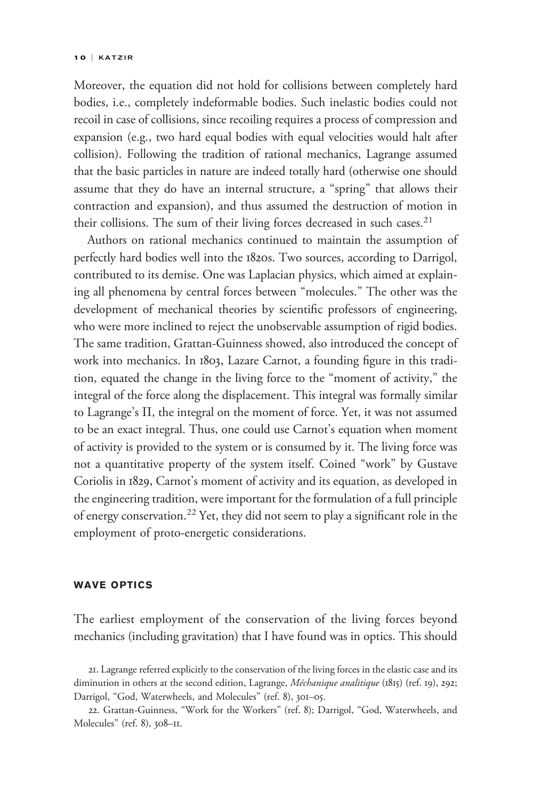Moreover, the equation did not hold for collisions between completely hard bodies, i.e., completely indeformable bodies. Such inelastic bodies could not recoil in case of collisions, since recoiling requires a process of compression and expansion (e.g., two hard equal bodies with equal velocities would halt after collision). Following the tradition of rational mechanics, Lagrange assumed that the basic particles in nature are indeed totally hard (otherwise one should assume that they do have an internal structure, a "spring" that allows their contraction and expansion), and thus assumed the destruction of motion in their collisions. The sum of their living forces decreased in such cases. $2<sup>1</sup>$ 

Authors on rational mechanics continued to maintain the assumption of perfectly hard bodies well into the 1820s. Two sources, according to Darrigol, contributed to its demise. One was Laplacian physics, which aimed at explaining all phenomena by central forces between "molecules." The other was the development of mechanical theories by scientific professors of engineering, who were more inclined to reject the unobservable assumption of rigid bodies. The same tradition, Grattan-Guinness showed, also introduced the concept of work into mechanics. In 1803, Lazare Carnot, a founding figure in this tradition, equated the change in the living force to the "moment of activity," the integral of the force along the displacement. This integral was formally similar to Lagrange's  $\Pi,$  the integral on the moment of force. Yet, it was not assumed to be an exact integral. Thus, one could use Carnot's equation when moment of activity is provided to the system or is consumed by it. The living force was not a quantitative property of the system itself. Coined "work" by Gustave Coriolis in 1829, Carnot's moment of activity and its equation, as developed in the engineering tradition, were important for the formulation of a full principle of energy conservation.<sup>22</sup> Yet, they did not seem to play a significant role in the employment of proto-energetic considerations.

### WAVE OPTICS

The earliest employment of the conservation of the living forces beyond mechanics (including gravitation) that I have found was in optics. This should

<sup>21.</sup> Lagrange referred explicitly to the conservation of the living forces in the elastic case and its diminution in others at the second edition, Lagrange, Méchanique analitique (1815) (ref. 19), 292; Darrigol, "God, Waterwheels, and Molecules" (ref. 8), 301–05.

<sup>22.</sup> Grattan-Guinness, "Work for the Workers" (ref. 8); Darrigol, "God, Waterwheels, and Molecules" (ref. 8), 308–11.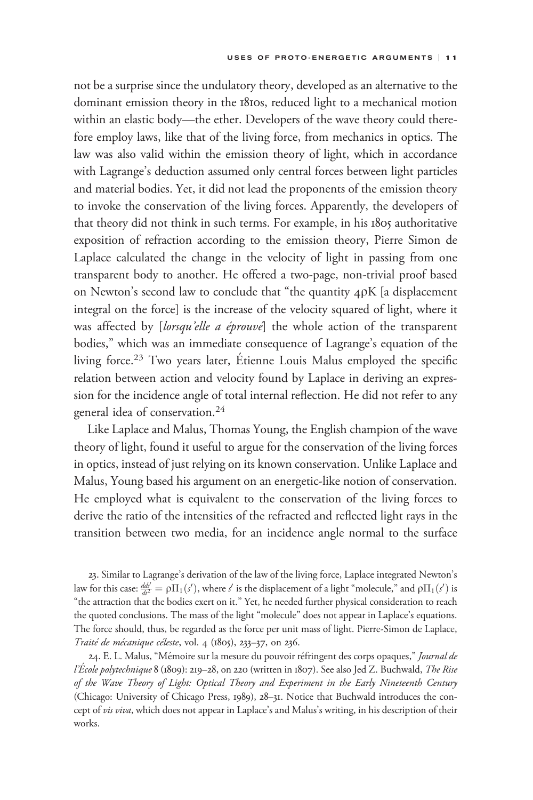not be a surprise since the undulatory theory, developed as an alternative to the dominant emission theory in the 1810s, reduced light to a mechanical motion within an elastic body—the ether. Developers of the wave theory could therefore employ laws, like that of the living force, from mechanics in optics. The law was also valid within the emission theory of light, which in accordance with Lagrange's deduction assumed only central forces between light particles and material bodies. Yet, it did not lead the proponents of the emission theory to invoke the conservation of the living forces. Apparently, the developers of that theory did not think in such terms. For example, in his 1805 authoritative exposition of refraction according to the emission theory, Pierre Simon de Laplace calculated the change in the velocity of light in passing from one transparent body to another. He offered a two-page, non-trivial proof based on Newton's second law to conclude that "the quantity  $4\rho K$  [a displacement integral on the force] is the increase of the velocity squared of light, where it was affected by [*lorsqu'elle a éprouve*] the whole action of the transparent bodies," which was an immediate consequence of Lagrange's equation of the living force.<sup>23</sup> Two years later, Étienne Louis Malus employed the specific relation between action and velocity found by Laplace in deriving an expression for the incidence angle of total internal reflection. He did not refer to any general idea of conservation.<sup>24</sup>

Like Laplace and Malus, Thomas Young, the English champion of the wave theory of light, found it useful to argue for the conservation of the living forces in optics, instead of just relying on its known conservation. Unlike Laplace and Malus, Young based his argument on an energetic-like notion of conservation. He employed what is equivalent to the conservation of the living forces to derive the ratio of the intensities of the refracted and reflected light rays in the transition between two media, for an incidence angle normal to the surface

23. Similar to Lagrange's derivation of the law of the living force, Laplace integrated Newton's law for this case:  $\frac{dd}{dt^2} = \rho \Pi_1(s')$ , where s' is the displacement of a light "molecule," and  $\rho \Pi_1(s')$  is "the attraction that the bodies exert on it." Yet, he needed further physical consideration to reach the quoted conclusions. The mass of the light "molecule" does not appear in Laplace's equations. The force should, thus, be regarded as the force per unit mass of light. Pierre-Simon de Laplace, Traité de mécanique céleste, vol. 4 (1805), 233-37, on 236.

24. E. L. Malus, "Mémoire sur la mesure du pouvoir réfringent des corps opaques," Journal de l'École polytechnique 8 (1809): 219-28, on 220 (written in 1807). See also Jed Z. Buchwald, The Rise of the Wave Theory of Light: Optical Theory and Experiment in the Early Nineteenth Century (Chicago: University of Chicago Press, 1989), 28–31. Notice that Buchwald introduces the concept of vis viva, which does not appear in Laplace's and Malus's writing, in his description of their works.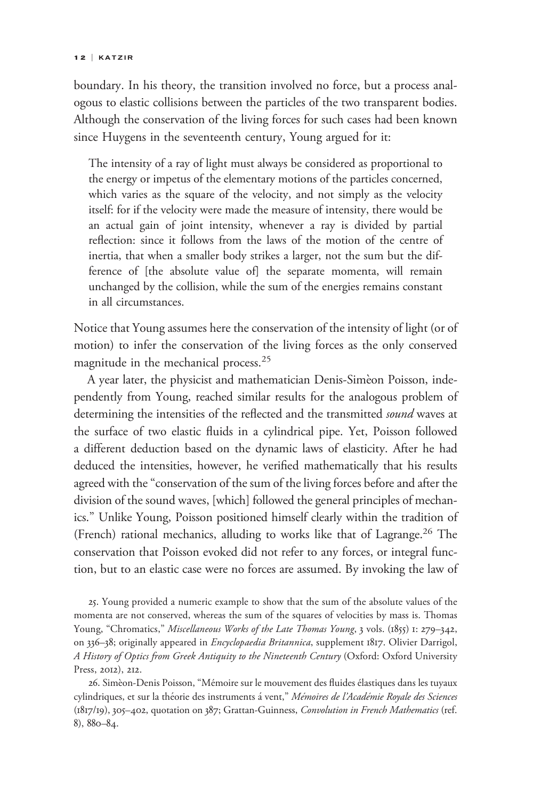boundary. In his theory, the transition involved no force, but a process analogous to elastic collisions between the particles of the two transparent bodies. Although the conservation of the living forces for such cases had been known since Huygens in the seventeenth century, Young argued for it:

The intensity of a ray of light must always be considered as proportional to the energy or impetus of the elementary motions of the particles concerned, which varies as the square of the velocity, and not simply as the velocity itself: for if the velocity were made the measure of intensity, there would be an actual gain of joint intensity, whenever a ray is divided by partial reflection: since it follows from the laws of the motion of the centre of inertia, that when a smaller body strikes a larger, not the sum but the difference of [the absolute value of] the separate momenta, will remain unchanged by the collision, while the sum of the energies remains constant in all circumstances.

Notice that Young assumes here the conservation of the intensity of light (or of motion) to infer the conservation of the living forces as the only conserved magnitude in the mechanical process.<sup>25</sup>

A year later, the physicist and mathematician Denis-Simèon Poisson, independently from Young, reached similar results for the analogous problem of determining the intensities of the reflected and the transmitted *sound* waves at the surface of two elastic fluids in a cylindrical pipe. Yet, Poisson followed a different deduction based on the dynamic laws of elasticity. After he had deduced the intensities, however, he verified mathematically that his results agreed with the "conservation of the sum of the living forces before and after the division of the sound waves, [which] followed the general principles of mechanics." Unlike Young, Poisson positioned himself clearly within the tradition of (French) rational mechanics, alluding to works like that of Lagrange.<sup>26</sup> The conservation that Poisson evoked did not refer to any forces, or integral function, but to an elastic case were no forces are assumed. By invoking the law of

25. Young provided a numeric example to show that the sum of the absolute values of the momenta are not conserved, whereas the sum of the squares of velocities by mass is. Thomas Young, "Chromatics," Miscellaneous Works of the Late Thomas Young, 3 vols. (1855) 1: 279-342, on 336–38; originally appeared in *Encyclopaedia Britannica*, supplement 1817. Olivier Darrigol, A History of Optics from Greek Antiquity to the Nineteenth Century (Oxford: Oxford University Press, 2012), 212.

26. Simèon-Denis Poisson, "Mémoire sur le mouvement des fluides élastiques dans les tuyaux cylindriques, et sur la théorie des instruments á vent," Mémoires de l'Académie Royale des Sciences (1817/19), 305–402, quotation on 387; Grattan-Guinness, Convolution in French Mathematics (ref. 8), 880–84.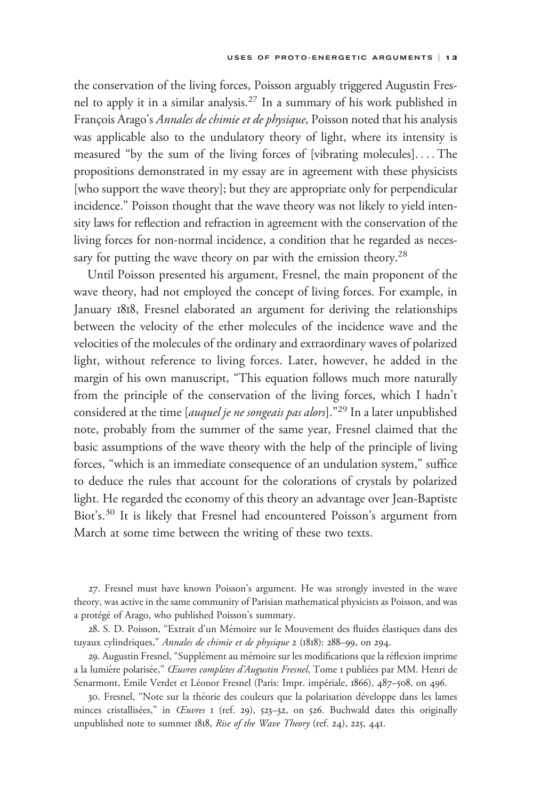the conservation of the living forces, Poisson arguably triggered Augustin Fresnel to apply it in a similar analysis.27 In a summary of his work published in François Arago's Annales de chimie et de physique, Poisson noted that his analysis was applicable also to the undulatory theory of light, where its intensity is measured "by the sum of the living forces of [vibrating molecules]. ... The propositions demonstrated in my essay are in agreement with these physicists [who support the wave theory]; but they are appropriate only for perpendicular incidence." Poisson thought that the wave theory was not likely to yield intensity laws for reflection and refraction in agreement with the conservation of the living forces for non-normal incidence, a condition that he regarded as necessary for putting the wave theory on par with the emission theory.<sup>28</sup>

Until Poisson presented his argument, Fresnel, the main proponent of the wave theory, had not employed the concept of living forces. For example, in January 1818, Fresnel elaborated an argument for deriving the relationships between the velocity of the ether molecules of the incidence wave and the velocities of the molecules of the ordinary and extraordinary waves of polarized light, without reference to living forces. Later, however, he added in the margin of his own manuscript, "This equation follows much more naturally from the principle of the conservation of the living forces, which I hadn't considered at the time [auquel je ne songeais pas alors]."<sup>29</sup> In a later unpublished note, probably from the summer of the same year, Fresnel claimed that the basic assumptions of the wave theory with the help of the principle of living forces, "which is an immediate consequence of an undulation system," suffice to deduce the rules that account for the colorations of crystals by polarized light. He regarded the economy of this theory an advantage over Jean-Baptiste Biot's.<sup>30</sup> It is likely that Fresnel had encountered Poisson's argument from March at some time between the writing of these two texts.

27. Fresnel must have known Poisson's argument. He was strongly invested in the wave theory, was active in the same community of Parisian mathematical physicists as Poisson, and was a protégé of Arago, who published Poisson's summary.

28. S. D. Poisson, "Extrait d'un Mémoire sur le Mouvement des fluides élastiques dans des tuyaux cylindriques," Annales de chimie et de physique 2 (1818): 288–99, on 294.

29. Augustin Fresnel, "Supplément au mémoire sur les modifications que la réflexion imprime a la lumière polarisée," *Œuvres complètes d'Augustin Fresnel*, Tome 1 publiées par MM. Henri de Senarmont, Emile Verdet et Léonor Fresnel (Paris: Impr. impériale, 1866), 487-508, on 496.

30. Fresnel, "Note sur la théorie des couleurs que la polarisation développe dans les lames minces cristallisées," in  $Euvres$  1 (ref. 29), 523–32, on 526. Buchwald dates this originally unpublished note to summer 1818, Rise of the Wave Theory (ref. 24), 225, 441.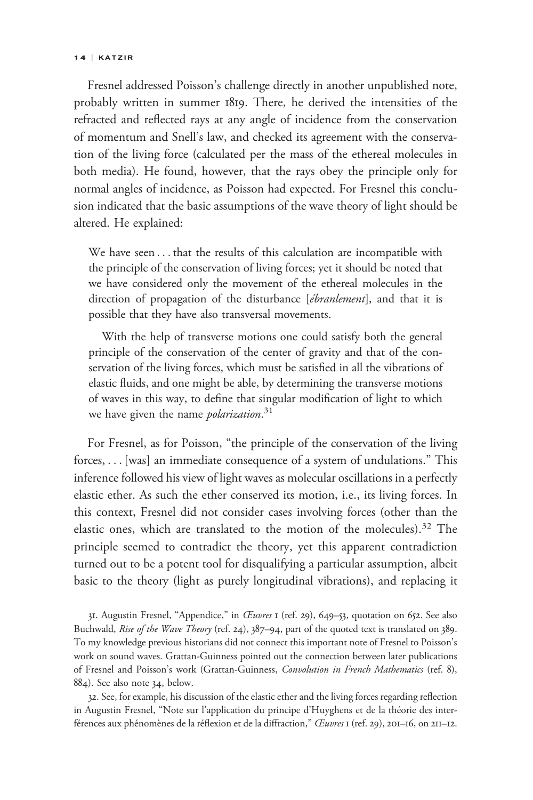#### 14 | KATZIR

Fresnel addressed Poisson's challenge directly in another unpublished note, probably written in summer 1819. There, he derived the intensities of the refracted and reflected rays at any angle of incidence from the conservation of momentum and Snell's law, and checked its agreement with the conservation of the living force (calculated per the mass of the ethereal molecules in both media). He found, however, that the rays obey the principle only for normal angles of incidence, as Poisson had expected. For Fresnel this conclusion indicated that the basic assumptions of the wave theory of light should be altered. He explained:

We have seen . . . that the results of this calculation are incompatible with the principle of the conservation of living forces; yet it should be noted that we have considered only the movement of the ethereal molecules in the direction of propagation of the disturbance [ébranlement], and that it is possible that they have also transversal movements.

With the help of transverse motions one could satisfy both the general principle of the conservation of the center of gravity and that of the conservation of the living forces, which must be satisfied in all the vibrations of elastic fluids, and one might be able, by determining the transverse motions of waves in this way, to define that singular modification of light to which we have given the name *polarization*.<sup>31</sup>

For Fresnel, as for Poisson, "the principle of the conservation of the living forces, ... [was] an immediate consequence of a system of undulations." This inference followed his view of light waves as molecular oscillations in a perfectly elastic ether. As such the ether conserved its motion, i.e., its living forces. In this context, Fresnel did not consider cases involving forces (other than the elastic ones, which are translated to the motion of the molecules).<sup>32</sup> The principle seemed to contradict the theory, yet this apparent contradiction turned out to be a potent tool for disqualifying a particular assumption, albeit basic to the theory (light as purely longitudinal vibrations), and replacing it

31. Augustin Fresnel, "Appendice," in CEuvres 1 (ref. 29), 649-53, quotation on 652. See also Buchwald, Rise of the Wave Theory (ref. 24), 387-94, part of the quoted text is translated on 389. To my knowledge previous historians did not connect this important note of Fresnel to Poisson's work on sound waves. Grattan-Guinness pointed out the connection between later publications of Fresnel and Poisson's work (Grattan-Guinness, Convolution in French Mathematics (ref. 8), 884). See also note 34, below.

32. See, for example, his discussion of the elastic ether and the living forces regarding reflection in Augustin Fresnel, "Note sur l'application du principe d'Huyghens et de la theorie des inter- ´ férences aux phénomènes de la réflexion et de la diffraction," Œuvres 1 (ref. 29), 201–16, on 211–12.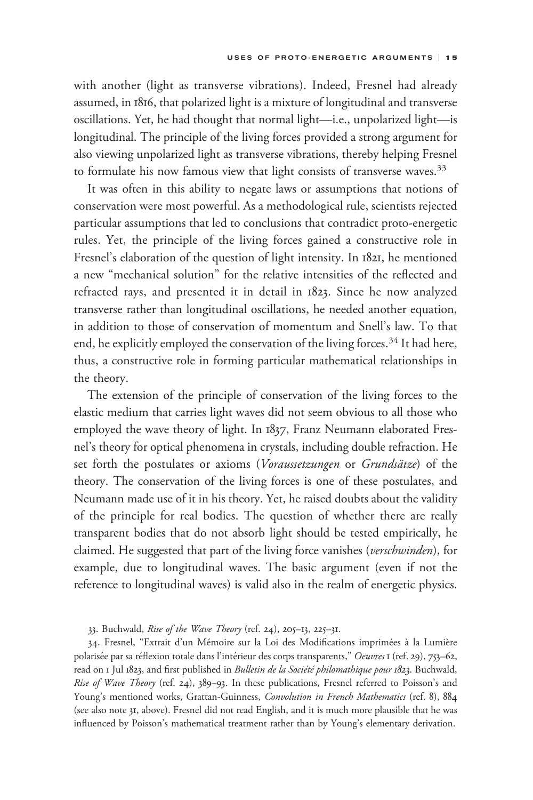with another (light as transverse vibrations). Indeed, Fresnel had already assumed, in 1816, that polarized light is a mixture of longitudinal and transverse oscillations. Yet, he had thought that normal light—i.e., unpolarized light—is longitudinal. The principle of the living forces provided a strong argument for also viewing unpolarized light as transverse vibrations, thereby helping Fresnel to formulate his now famous view that light consists of transverse waves.<sup>33</sup>

It was often in this ability to negate laws or assumptions that notions of conservation were most powerful. As a methodological rule, scientists rejected particular assumptions that led to conclusions that contradict proto-energetic rules. Yet, the principle of the living forces gained a constructive role in Fresnel's elaboration of the question of light intensity. In 1821, he mentioned a new "mechanical solution" for the relative intensities of the reflected and refracted rays, and presented it in detail in 1823. Since he now analyzed transverse rather than longitudinal oscillations, he needed another equation, in addition to those of conservation of momentum and Snell's law. To that end, he explicitly employed the conservation of the living forces.<sup>34</sup> It had here, thus, a constructive role in forming particular mathematical relationships in the theory.

The extension of the principle of conservation of the living forces to the elastic medium that carries light waves did not seem obvious to all those who employed the wave theory of light. In 1837, Franz Neumann elaborated Fresnel's theory for optical phenomena in crystals, including double refraction. He set forth the postulates or axioms (Voraussetzungen or Grundsätze) of the theory. The conservation of the living forces is one of these postulates, and Neumann made use of it in his theory. Yet, he raised doubts about the validity of the principle for real bodies. The question of whether there are really transparent bodies that do not absorb light should be tested empirically, he claimed. He suggested that part of the living force vanishes (verschwinden), for example, due to longitudinal waves. The basic argument (even if not the reference to longitudinal waves) is valid also in the realm of energetic physics.

33. Buchwald, Rise of the Wave Theory (ref. 24), 205–13, 225–31.

34. Fresnel, "Extrait d'un Mémoire sur la Loi des Modifications imprimées à la Lumière polarisée par sa réflexion totale dans l'intérieur des corps transparents," Oeuvres 1 (ref. 29), 753–62, read on 1 Jul 1823, and first published in Bulletin de la Société philomathique pour 1823. Buchwald, Rise of Wave Theory (ref. 24), 389-93. In these publications, Fresnel referred to Poisson's and Young's mentioned works, Grattan-Guinness, Convolution in French Mathematics (ref. 8), 884 (see also note 31, above). Fresnel did not read English, and it is much more plausible that he was influenced by Poisson's mathematical treatment rather than by Young's elementary derivation.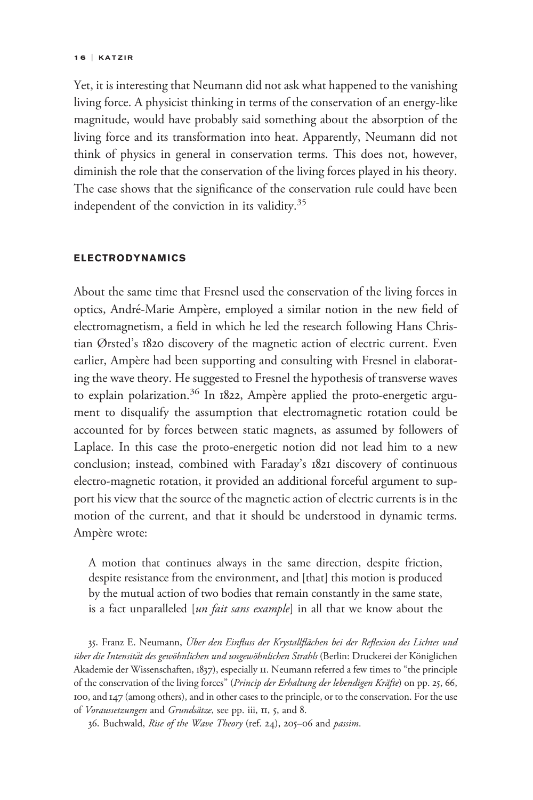#### 1 6 | KATZIR

Yet, it is interesting that Neumann did not ask what happened to the vanishing living force. A physicist thinking in terms of the conservation of an energy-like magnitude, would have probably said something about the absorption of the living force and its transformation into heat. Apparently, Neumann did not think of physics in general in conservation terms. This does not, however, diminish the role that the conservation of the living forces played in his theory. The case shows that the significance of the conservation rule could have been independent of the conviction in its validity. $35$ 

## ELECTRODYNAMICS

About the same time that Fresnel used the conservation of the living forces in optics, André-Marie Ampère, employed a similar notion in the new field of electromagnetism, a field in which he led the research following Hans Christian Ørsted's 1820 discovery of the magnetic action of electric current. Even earlier, Ampère had been supporting and consulting with Fresnel in elaborating the wave theory. He suggested to Fresnel the hypothesis of transverse waves to explain polarization.<sup>36</sup> In 1822, Ampère applied the proto-energetic argument to disqualify the assumption that electromagnetic rotation could be accounted for by forces between static magnets, as assumed by followers of Laplace. In this case the proto-energetic notion did not lead him to a new conclusion; instead, combined with Faraday's 1821 discovery of continuous electro-magnetic rotation, it provided an additional forceful argument to support his view that the source of the magnetic action of electric currents is in the motion of the current, and that it should be understood in dynamic terms. Ampère wrote:

A motion that continues always in the same direction, despite friction, despite resistance from the environment, and [that] this motion is produced by the mutual action of two bodies that remain constantly in the same state, is a fact unparalleled [un fait sans example] in all that we know about the

35. Franz E. Neumann, Über den Einfluss der Krystallflächen bei der Reflexion des Lichtes und über die Intensität des gewöhnlichen und ungewöhnlichen Strahls (Berlin: Druckerei der Königlichen Akademie der Wissenschaften, 1837), especially 11. Neumann referred a few times to "the principle of the conservation of the living forces" (Princip der Erhaltung der lebendigen Kräfte) on pp. 25, 66, 100, and 147 (among others), and in other cases to the principle, or to the conservation. For the use of Voraussetzungen and Grundsätze, see pp. iii, II, 5, and 8.

36. Buchwald, Rise of the Wave Theory (ref. 24), 205–06 and passim.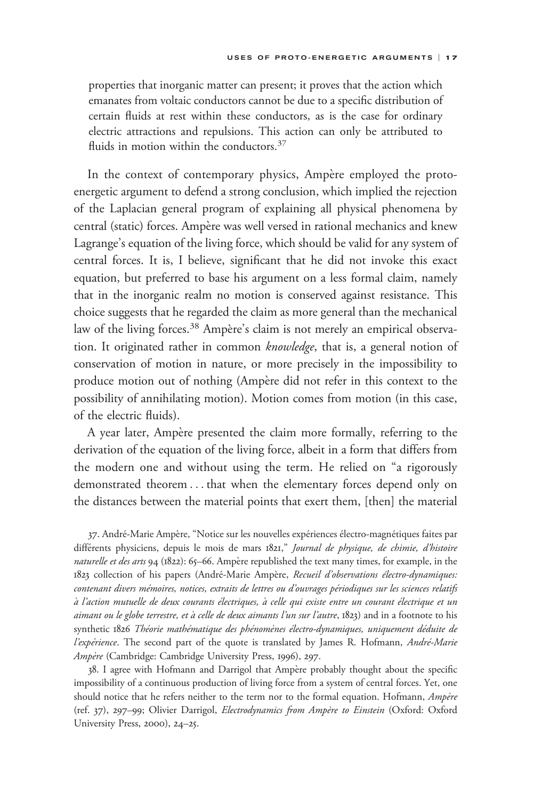properties that inorganic matter can present; it proves that the action which emanates from voltaic conductors cannot be due to a specific distribution of certain fluids at rest within these conductors, as is the case for ordinary electric attractions and repulsions. This action can only be attributed to fluids in motion within the conductors.<sup>37</sup>

In the context of contemporary physics, Ampère employed the protoenergetic argument to defend a strong conclusion, which implied the rejection of the Laplacian general program of explaining all physical phenomena by central (static) forces. Ampère was well versed in rational mechanics and knew Lagrange's equation of the living force, which should be valid for any system of central forces. It is, I believe, significant that he did not invoke this exact equation, but preferred to base his argument on a less formal claim, namely that in the inorganic realm no motion is conserved against resistance. This choice suggests that he regarded the claim as more general than the mechanical law of the living forces.<sup>38</sup> Ampère's claim is not merely an empirical observation. It originated rather in common knowledge, that is, a general notion of conservation of motion in nature, or more precisely in the impossibility to produce motion out of nothing (Ampère did not refer in this context to the possibility of annihilating motion). Motion comes from motion (in this case, of the electric fluids).

A year later, Ampère presented the claim more formally, referring to the derivation of the equation of the living force, albeit in a form that differs from the modern one and without using the term. He relied on "a rigorously demonstrated theorem ... that when the elementary forces depend only on the distances between the material points that exert them, [then] the material

37. André-Marie Ampère, "Notice sur les nouvelles expériences électro-magnétiques faites par différents physiciens, depuis le mois de mars  $1821$ ," Journal de physique, de chimie, d'histoire naturelle et des arts 94 (1822): 65-66. Ampère republished the text many times, for example, in the 1823 collection of his papers (André-Marie Ampère, Recueil d'observations électro-dynamiques: contenant divers mémoires, notices, extraits de lettres ou d'ouvrages périodiques sur les sciences relatifs à l'action mutuelle de deux courants électriques, à celle qui existe entre un courant électrique et un aimant ou le globe terrestre, et à celle de deux aimants l'un sur l'autre, 1823) and in a footnote to his synthetic 1826 Théorie mathématique des phénomènes électro-dynamiques, uniquement déduite de l'expérience. The second part of the quote is translated by James R. Hofmann, André-Marie Ampère (Cambridge: Cambridge University Press, 1996), 297.

38. I agree with Hofmann and Darrigol that Ampère probably thought about the specific impossibility of a continuous production of living force from a system of central forces. Yet, one should notice that he refers neither to the term nor to the formal equation. Hofmann, Ampère (ref. 37), 297-99; Olivier Darrigol, Electrodynamics from Ampère to Einstein (Oxford: Oxford University Press, 2000), 24–25.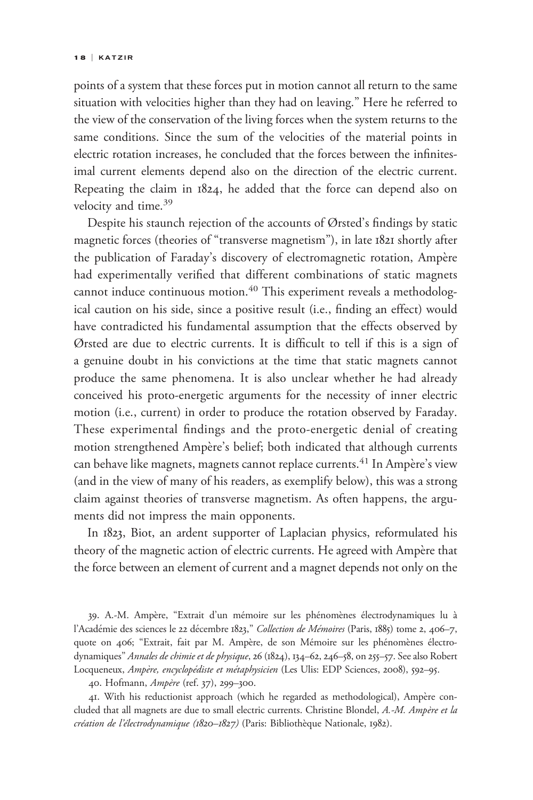points of a system that these forces put in motion cannot all return to the same situation with velocities higher than they had on leaving." Here he referred to the view of the conservation of the living forces when the system returns to the same conditions. Since the sum of the velocities of the material points in electric rotation increases, he concluded that the forces between the infinitesimal current elements depend also on the direction of the electric current. Repeating the claim in 1824, he added that the force can depend also on velocity and time.<sup>39</sup>

Despite his staunch rejection of the accounts of Ørsted's findings by static magnetic forces (theories of "transverse magnetism"), in late 1821 shortly after the publication of Faraday's discovery of electromagnetic rotation, Ampère had experimentally verified that different combinations of static magnets cannot induce continuous motion.<sup>40</sup> This experiment reveals a methodological caution on his side, since a positive result (i.e., finding an effect) would have contradicted his fundamental assumption that the effects observed by Ørsted are due to electric currents. It is difficult to tell if this is a sign of a genuine doubt in his convictions at the time that static magnets cannot produce the same phenomena. It is also unclear whether he had already conceived his proto-energetic arguments for the necessity of inner electric motion (i.e., current) in order to produce the rotation observed by Faraday. These experimental findings and the proto-energetic denial of creating motion strengthened Ampère's belief; both indicated that although currents can behave like magnets, magnets cannot replace currents.<sup>41</sup> In Ampère's view (and in the view of many of his readers, as exemplify below), this was a strong claim against theories of transverse magnetism. As often happens, the arguments did not impress the main opponents.

In 1823, Biot, an ardent supporter of Laplacian physics, reformulated his theory of the magnetic action of electric currents. He agreed with Ampère that the force between an element of current and a magnet depends not only on the

39. A.-M. Ampère, "Extrait d'un mémoire sur les phénomènes électrodynamiques lu à l'Académie des sciences le 22 décembre 1823," Collection de Mémoires (Paris, 1885) tome 2, 406-7, quote on 406; "Extrait, fait par M. Ampère, de son Mémoire sur les phénomènes électrodynamiques" Annales de chimie et de physique, 26 (1824), 134-62, 246-58, on 255-57. See also Robert Locqueneux, Ampère, encyclopédiste et métaphysicien (Les Ulis: EDP Sciences, 2008), 592-95.

40. Hofmann, Ampère (ref. 37), 299-300.

41. With his reductionist approach (which he regarded as methodological), Ampère concluded that all magnets are due to small electric currents. Christine Blondel, A.-M. Ampère et la création de l'électrodynamique (1820-1827) (Paris: Bibliothèque Nationale, 1982).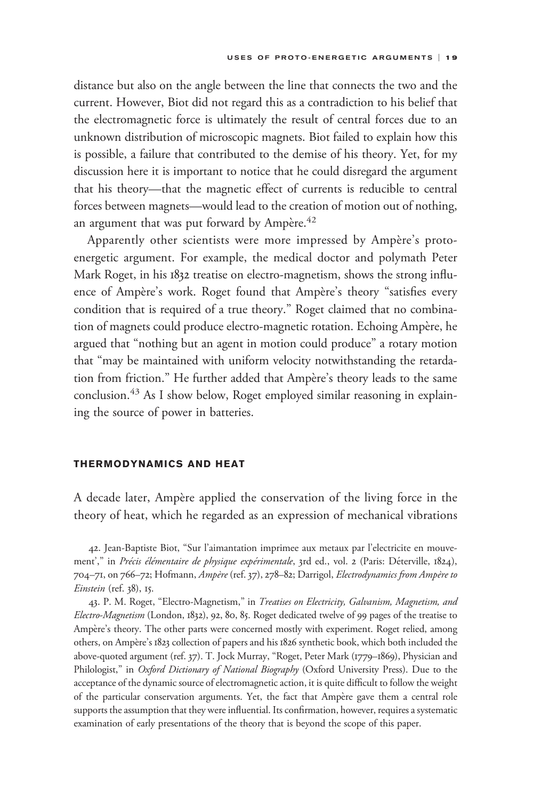distance but also on the angle between the line that connects the two and the current. However, Biot did not regard this as a contradiction to his belief that the electromagnetic force is ultimately the result of central forces due to an unknown distribution of microscopic magnets. Biot failed to explain how this is possible, a failure that contributed to the demise of his theory. Yet, for my discussion here it is important to notice that he could disregard the argument that his theory—that the magnetic effect of currents is reducible to central forces between magnets—would lead to the creation of motion out of nothing, an argument that was put forward by Ampère. $42$ 

Apparently other scientists were more impressed by Ampère's protoenergetic argument. For example, the medical doctor and polymath Peter Mark Roget, in his 1832 treatise on electro-magnetism, shows the strong influence of Ampère's work. Roget found that Ampère's theory "satisfies every condition that is required of a true theory." Roget claimed that no combination of magnets could produce electro-magnetic rotation. Echoing Ampère, he argued that "nothing but an agent in motion could produce" a rotary motion that "may be maintained with uniform velocity notwithstanding the retardation from friction." He further added that Ampère's theory leads to the same conclusion.<sup>43</sup> As I show below, Roget employed similar reasoning in explaining the source of power in batteries.

### THERMODYNAMICS AND HEAT

A decade later, Ampère applied the conservation of the living force in the theory of heat, which he regarded as an expression of mechanical vibrations

42. Jean-Baptiste Biot, "Sur l'aimantation imprimee aux metaux par l'electricite en mouvement'," in Précis élémentaire de physique expérimentale, 3rd ed., vol. 2 (Paris: Déterville, 1824), 704–71, on 766–72; Hofmann, Ampère (ref. 37), 278–82; Darrigol, Electrodynamics from Ampère to Einstein (ref. 38), 15.

43. P. M. Roget, "Electro-Magnetism," in Treatises on Electricity, Galvanism, Magnetism, and Electro-Magnetism (London, 1832), 92, 80, 85. Roget dedicated twelve of 99 pages of the treatise to Ampère's theory. The other parts were concerned mostly with experiment. Roget relied, among others, on Ampère's 1823 collection of papers and his 1826 synthetic book, which both included the above-quoted argument (ref. 37). T. Jock Murray, "Roget, Peter Mark (1779–1869), Physician and Philologist," in Oxford Dictionary of National Biography (Oxford University Press). Due to the acceptance of the dynamic source of electromagnetic action, it is quite difficult to follow the weight of the particular conservation arguments. Yet, the fact that Ampère gave them a central role supports the assumption that they were influential. Its confirmation, however, requires a systematic examination of early presentations of the theory that is beyond the scope of this paper.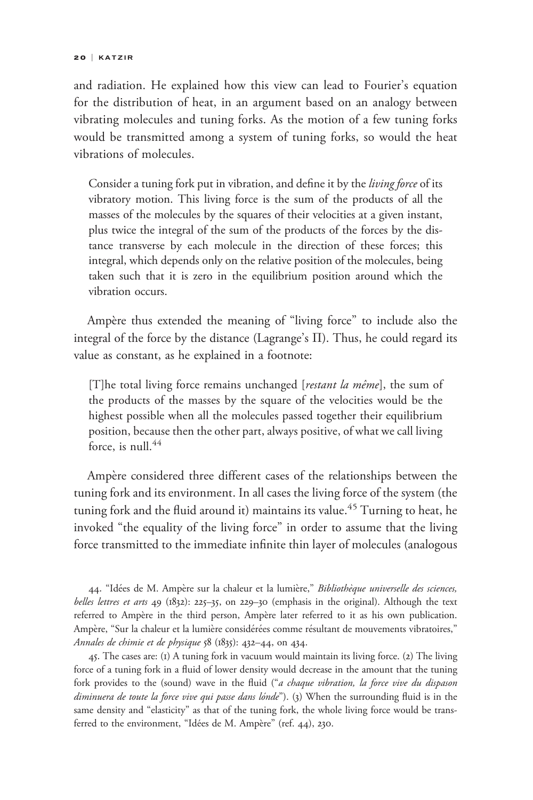and radiation. He explained how this view can lead to Fourier's equation for the distribution of heat, in an argument based on an analogy between vibrating molecules and tuning forks. As the motion of a few tuning forks would be transmitted among a system of tuning forks, so would the heat vibrations of molecules.

Consider a tuning fork put in vibration, and define it by the living force of its vibratory motion. This living force is the sum of the products of all the masses of the molecules by the squares of their velocities at a given instant, plus twice the integral of the sum of the products of the forces by the distance transverse by each molecule in the direction of these forces; this integral, which depends only on the relative position of the molecules, being taken such that it is zero in the equilibrium position around which the vibration occurs.

Ampère thus extended the meaning of "living force" to include also the integral of the force by the distance (Lagrange's  $\Pi$ ). Thus, he could regard its value as constant, as he explained in a footnote:

[T]he total living force remains unchanged [*restant la même*], the sum of the products of the masses by the square of the velocities would be the highest possible when all the molecules passed together their equilibrium position, because then the other part, always positive, of what we call living force, is null. $44$ 

Ampère considered three different cases of the relationships between the tuning fork and its environment. In all cases the living force of the system (the tuning fork and the fluid around it) maintains its value.<sup>45</sup> Turning to heat, he invoked "the equality of the living force" in order to assume that the living force transmitted to the immediate infinite thin layer of molecules (analogous

44. "Idées de M. Ampère sur la chaleur et la lumière," Bibliothèque universelle des sciences, belles lettres et arts 49 (1832): 225-35, on 229-30 (emphasis in the original). Although the text referred to Ampère in the third person, Ampère later referred to it as his own publication. Ampère, "Sur la chaleur et la lumière considérées comme résultant de mouvements vibratoires," Annales de chimie et de physique 58 (1835): 432–44, on 434.

45. The cases are: (1) A tuning fork in vacuum would maintain its living force. (2) The living force of a tuning fork in a fluid of lower density would decrease in the amount that the tuning fork provides to the (sound) wave in the fluid ("a chaque vibration, la force vive du dispason diminuera de toute la force vive qui passe dans lónde"). (3) When the surrounding fluid is in the same density and "elasticity" as that of the tuning fork, the whole living force would be transferred to the environment, "Idées de M. Ampère" (ref. 44), 230.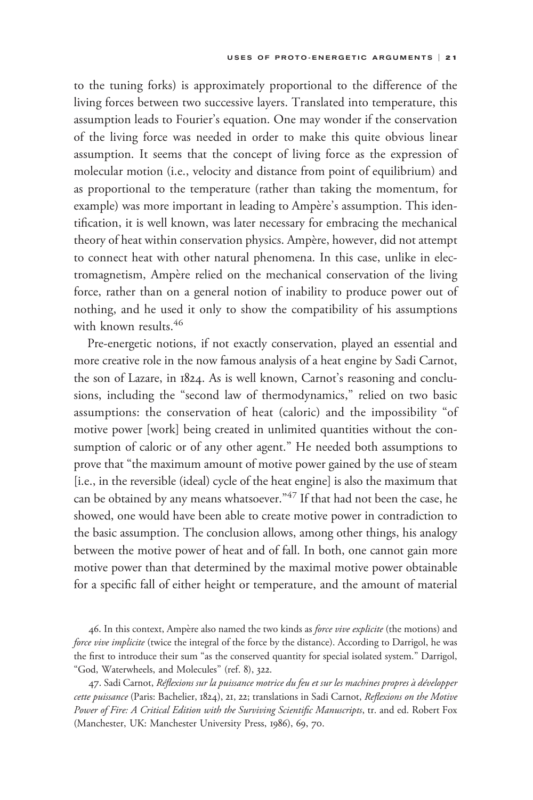to the tuning forks) is approximately proportional to the difference of the living forces between two successive layers. Translated into temperature, this assumption leads to Fourier's equation. One may wonder if the conservation of the living force was needed in order to make this quite obvious linear assumption. It seems that the concept of living force as the expression of molecular motion (i.e., velocity and distance from point of equilibrium) and as proportional to the temperature (rather than taking the momentum, for example) was more important in leading to Ampère's assumption. This identification, it is well known, was later necessary for embracing the mechanical theory of heat within conservation physics. Ampère, however, did not attempt to connect heat with other natural phenomena. In this case, unlike in electromagnetism, Ampère relied on the mechanical conservation of the living force, rather than on a general notion of inability to produce power out of nothing, and he used it only to show the compatibility of his assumptions with known results.<sup>46</sup>

Pre-energetic notions, if not exactly conservation, played an essential and more creative role in the now famous analysis of a heat engine by Sadi Carnot, the son of Lazare, in 1824. As is well known, Carnot's reasoning and conclusions, including the "second law of thermodynamics," relied on two basic assumptions: the conservation of heat (caloric) and the impossibility "of motive power [work] being created in unlimited quantities without the consumption of caloric or of any other agent." He needed both assumptions to prove that "the maximum amount of motive power gained by the use of steam [i.e., in the reversible (ideal) cycle of the heat engine] is also the maximum that can be obtained by any means whatsoever."<sup>47</sup> If that had not been the case, he showed, one would have been able to create motive power in contradiction to the basic assumption. The conclusion allows, among other things, his analogy between the motive power of heat and of fall. In both, one cannot gain more motive power than that determined by the maximal motive power obtainable for a specific fall of either height or temperature, and the amount of material

46. In this context, Ampère also named the two kinds as force vive explicite (the motions) and force vive implicite (twice the integral of the force by the distance). According to Darrigol, he was the first to introduce their sum "as the conserved quantity for special isolated system." Darrigol, "God, Waterwheels, and Molecules" (ref. 8), 322.

47. Sadi Carnot, Réflexions sur la puissance motrice du feu et sur les machines propres à développer cette puissance (Paris: Bachelier, 1824), 21, 22; translations in Sadi Carnot, Reflexions on the Motive Power of Fire: A Critical Edition with the Surviving Scientific Manuscripts, tr. and ed. Robert Fox (Manchester, UK: Manchester University Press, 1986), 69, 70.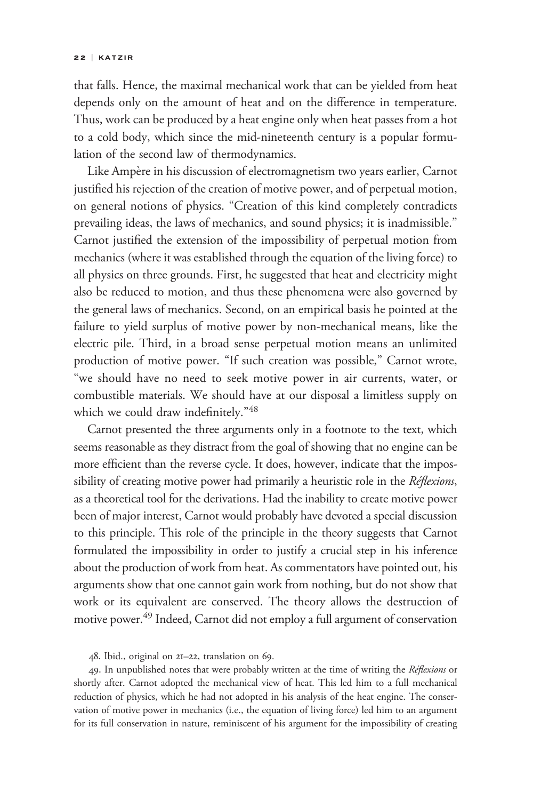that falls. Hence, the maximal mechanical work that can be yielded from heat depends only on the amount of heat and on the difference in temperature. Thus, work can be produced by a heat engine only when heat passes from a hot to a cold body, which since the mid-nineteenth century is a popular formulation of the second law of thermodynamics.

Like Ampère in his discussion of electromagnetism two years earlier, Carnot justified his rejection of the creation of motive power, and of perpetual motion, on general notions of physics. "Creation of this kind completely contradicts prevailing ideas, the laws of mechanics, and sound physics; it is inadmissible." Carnot justified the extension of the impossibility of perpetual motion from mechanics (where it was established through the equation of the living force) to all physics on three grounds. First, he suggested that heat and electricity might also be reduced to motion, and thus these phenomena were also governed by the general laws of mechanics. Second, on an empirical basis he pointed at the failure to yield surplus of motive power by non-mechanical means, like the electric pile. Third, in a broad sense perpetual motion means an unlimited production of motive power. "If such creation was possible," Carnot wrote, "we should have no need to seek motive power in air currents, water, or combustible materials. We should have at our disposal a limitless supply on which we could draw indefinitely."48

Carnot presented the three arguments only in a footnote to the text, which seems reasonable as they distract from the goal of showing that no engine can be more efficient than the reverse cycle. It does, however, indicate that the impossibility of creating motive power had primarily a heuristic role in the Réflexions, as a theoretical tool for the derivations. Had the inability to create motive power been of major interest, Carnot would probably have devoted a special discussion to this principle. This role of the principle in the theory suggests that Carnot formulated the impossibility in order to justify a crucial step in his inference about the production of work from heat. As commentators have pointed out, his arguments show that one cannot gain work from nothing, but do not show that work or its equivalent are conserved. The theory allows the destruction of motive power.49 Indeed, Carnot did not employ a full argument of conservation

48. Ibid., original on 21–22, translation on 69.

49. In unpublished notes that were probably written at the time of writing the Réflexions or shortly after. Carnot adopted the mechanical view of heat. This led him to a full mechanical reduction of physics, which he had not adopted in his analysis of the heat engine. The conservation of motive power in mechanics (i.e., the equation of living force) led him to an argument for its full conservation in nature, reminiscent of his argument for the impossibility of creating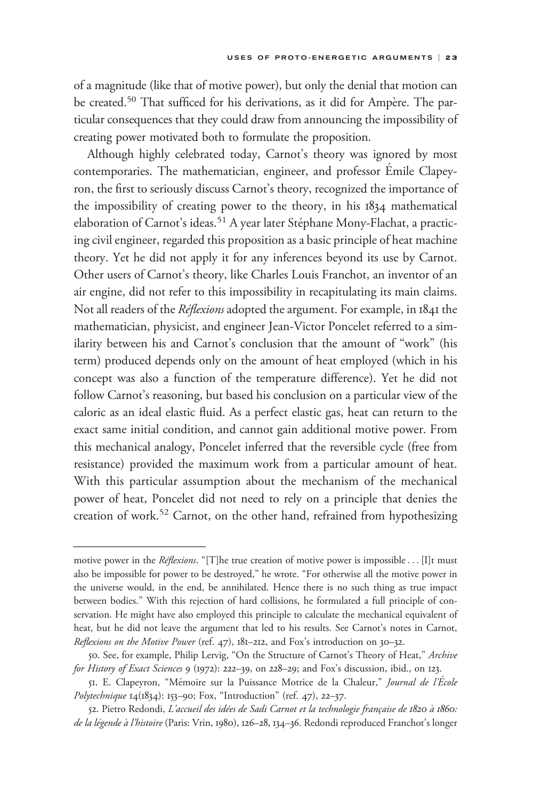of a magnitude (like that of motive power), but only the denial that motion can be created.<sup>50</sup> That sufficed for his derivations, as it did for Ampère. The particular consequences that they could draw from announcing the impossibility of creating power motivated both to formulate the proposition.

Although highly celebrated today, Carnot's theory was ignored by most contemporaries. The mathematician, engineer, and professor Émile Clapeyron, the first to seriously discuss Carnot's theory, recognized the importance of the impossibility of creating power to the theory, in his 1834 mathematical elaboration of Carnot's ideas.<sup>51</sup> A year later Stéphane Mony-Flachat, a practicing civil engineer, regarded this proposition as a basic principle of heat machine theory. Yet he did not apply it for any inferences beyond its use by Carnot. Other users of Carnot's theory, like Charles Louis Franchot, an inventor of an air engine, did not refer to this impossibility in recapitulating its main claims. Not all readers of the *Réflexions* adopted the argument. For example, in 1841 the mathematician, physicist, and engineer Jean-Victor Poncelet referred to a similarity between his and Carnot's conclusion that the amount of "work" (his term) produced depends only on the amount of heat employed (which in his concept was also a function of the temperature difference). Yet he did not follow Carnot's reasoning, but based his conclusion on a particular view of the caloric as an ideal elastic fluid. As a perfect elastic gas, heat can return to the exact same initial condition, and cannot gain additional motive power. From this mechanical analogy, Poncelet inferred that the reversible cycle (free from resistance) provided the maximum work from a particular amount of heat. With this particular assumption about the mechanism of the mechanical power of heat, Poncelet did not need to rely on a principle that denies the creation of work.<sup>52</sup> Carnot, on the other hand, refrained from hypothesizing creating power motivated both Minduph highly celebrated<br>contemporaries. The mathemat<br>con, the first to seriously discuss<br>the impossibility of creating po<br>elaboration of Carnot's ideas.<sup>51</sup><br>ing civil engineer, regarded thi

motive power in the *Réflexions*. "[T]he true creation of motive power is impossible... [I]t must also be impossible for power to be destroyed," he wrote. "For otherwise all the motive power in the universe would, in the end, be annihilated. Hence there is no such thing as true impact between bodies." With this rejection of hard collisions, he formulated a full principle of conservation. He might have also employed this principle to calculate the mechanical equivalent of heat, but he did not leave the argument that led to his results. See Carnot's notes in Carnot, Reflexions on the Motive Power (ref. 47), 181–212, and Fox's introduction on 30–32.

<sup>50.</sup> See, for example, Philip Lervig, "On the Structure of Carnot's Theory of Heat," Archive for History of Exact Sciences 9 (1972): 222–39, on 228–29; and Fox's discussion, ibid., on 123.

<sup>51.</sup> E. Clapeyron, "Mémoire sur la Puissance Motrice de la Chaleur," Journal de l'École Polytechnique 14(1834): 153-90; Fox, "Introduction" (ref. 47), 22-37.

<sup>52.</sup> Pietro Redondi, L'accueil des idées de Sadi Carnot et la technologie française de 1820 à 1860: de la légende à l'histoire (Paris: Vrin, 1980), 126–28, 134–36. Redondi reproduced Franchot's longer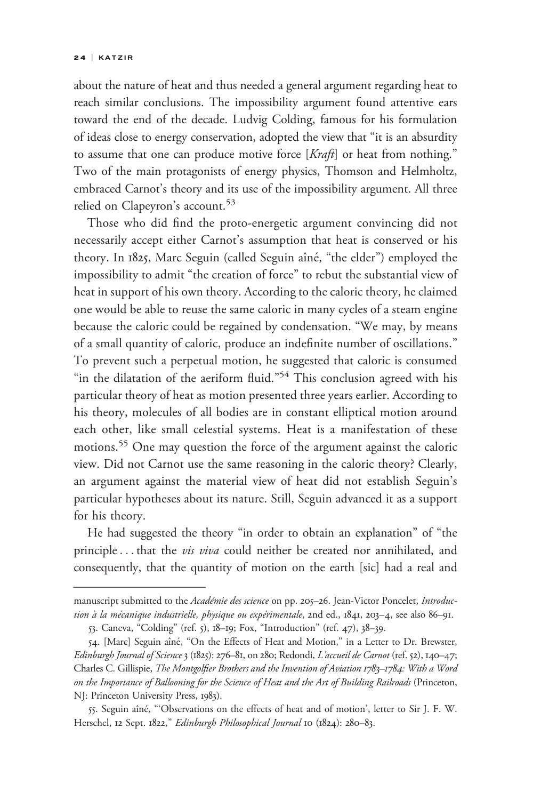#### 2 4 | KATZIR

about the nature of heat and thus needed a general argument regarding heat to reach similar conclusions. The impossibility argument found attentive ears toward the end of the decade. Ludvig Colding, famous for his formulation of ideas close to energy conservation, adopted the view that "it is an absurdity to assume that one can produce motive force [Kraft] or heat from nothing." Two of the main protagonists of energy physics, Thomson and Helmholtz, embraced Carnot's theory and its use of the impossibility argument. All three relied on Clapeyron's account.<sup>53</sup>

Those who did find the proto-energetic argument convincing did not necessarily accept either Carnot's assumption that heat is conserved or his theory. In 1825, Marc Seguin (called Seguin aîné, "the elder") employed the impossibility to admit "the creation of force" to rebut the substantial view of heat in support of his own theory. According to the caloric theory, he claimed one would be able to reuse the same caloric in many cycles of a steam engine because the caloric could be regained by condensation. "We may, by means of a small quantity of caloric, produce an indefinite number of oscillations." To prevent such a perpetual motion, he suggested that caloric is consumed "in the dilatation of the aeriform fluid."<sup>54</sup> This conclusion agreed with his particular theory of heat as motion presented three years earlier. According to his theory, molecules of all bodies are in constant elliptical motion around each other, like small celestial systems. Heat is a manifestation of these motions.<sup>55</sup> One may question the force of the argument against the caloric view. Did not Carnot use the same reasoning in the caloric theory? Clearly, an argument against the material view of heat did not establish Seguin's particular hypotheses about its nature. Still, Seguin advanced it as a support for his theory. 1 wo of the main protagonists<br>
embraced Carnot's theory and i<br>
relied on Clapeyron's account.<sup>5</sup><br>
Those who did find the pr<br>
necessarily accept either Carno<br>
theory. In 1825, Marc Seguin (c<br>
impossibility to admit "the cr

He had suggested the theory "in order to obtain an explanation" of "the principle... that the *vis viva* could neither be created nor annihilated, and consequently, that the quantity of motion on the earth [sic] had a real and

manuscript submitted to the Académie des science on pp. 205-26. Jean-Victor Poncelet, Introduction à la mécanique industrielle, physique ou expérimentale, 2nd ed., 1841, 203–4, see also 86–91.

<sup>53.</sup> Caneva, "Colding" (ref. 5), 18–19; Fox, "Introduction" (ref. 47), 38–39.

<sup>54. [</sup>Marc] Seguin aîné, "On the Effects of Heat and Motion," in a Letter to Dr. Brewster, Edinburgh Journal of Science 3 (1825): 276–81, on 280; Redondi, L'accueil de Carnot (ref. 52), 140–47; Charles C. Gillispie, The Montgolfier Brothers and the Invention of Aviation 1783–1784: With a Word on the Importance of Ballooning for the Science of Heat and the Art of Building Railroads (Princeton, NJ: Princeton University Press, 1983).

<sup>55.</sup> Seguin aîné, "'Observations on the effects of heat and of motion', letter to Sir J. F. W. Herschel, 12 Sept. 1822," Edinburgh Philosophical Journal 10 (1824): 280-83.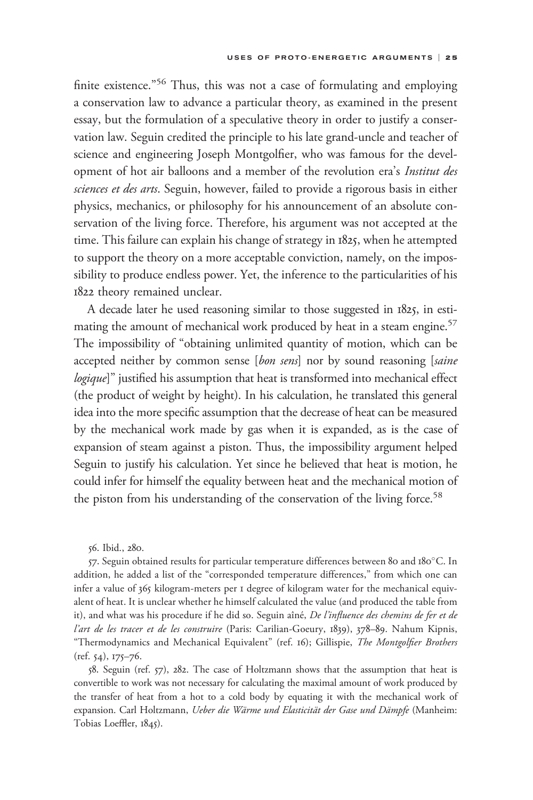finite existence."<sup>56</sup> Thus, this was not a case of formulating and employing a conservation law to advance a particular theory, as examined in the present essay, but the formulation of a speculative theory in order to justify a conservation law. Seguin credited the principle to his late grand-uncle and teacher of science and engineering Joseph Montgolfier, who was famous for the development of hot air balloons and a member of the revolution era's Institut des sciences et des arts. Seguin, however, failed to provide a rigorous basis in either physics, mechanics, or philosophy for his announcement of an absolute conservation of the living force. Therefore, his argument was not accepted at the time. This failure can explain his change of strategy in 1825, when he attempted to support the theory on a more acceptable conviction, namely, on the impossibility to produce endless power. Yet, the inference to the particularities of his 1822 theory remained unclear.

A decade later he used reasoning similar to those suggested in 1825, in estimating the amount of mechanical work produced by heat in a steam engine.<sup>57</sup> The impossibility of "obtaining unlimited quantity of motion, which can be accepted neither by common sense [bon sens] nor by sound reasoning [saine logique]" justified his assumption that heat is transformed into mechanical effect (the product of weight by height). In his calculation, he translated this general idea into the more specific assumption that the decrease of heat can be measured by the mechanical work made by gas when it is expanded, as is the case of expansion of steam against a piston. Thus, the impossibility argument helped Seguin to justify his calculation. Yet since he believed that heat is motion, he could infer for himself the equality between heat and the mechanical motion of the piston from his understanding of the conservation of the living force.<sup>58</sup>

56. Ibid., 280.

57. Seguin obtained results for particular temperature differences between 80 and 180°C. In addition, he added a list of the "corresponded temperature differences," from which one can infer a value of 365 kilogram-meters per 1 degree of kilogram water for the mechanical equivalent of heat. It is unclear whether he himself calculated the value (and produced the table from it), and what was his procedure if he did so. Seguin aîné, De l'influence des chemins de fer et de l'art de les tracer et de les construire (Paris: Carilian-Goeury, 1839), 378-89. Nahum Kipnis, "Thermodynamics and Mechanical Equivalent" (ref. 16); Gillispie, The Montgolfier Brothers (ref. 54), 175–76.

58. Seguin (ref. 57), 282. The case of Holtzmann shows that the assumption that heat is convertible to work was not necessary for calculating the maximal amount of work produced by the transfer of heat from a hot to a cold body by equating it with the mechanical work of expansion. Carl Holtzmann, Ueber die Wärme und Elasticität der Gase und Dämpfe (Manheim: Tobias Loeffler, 1845).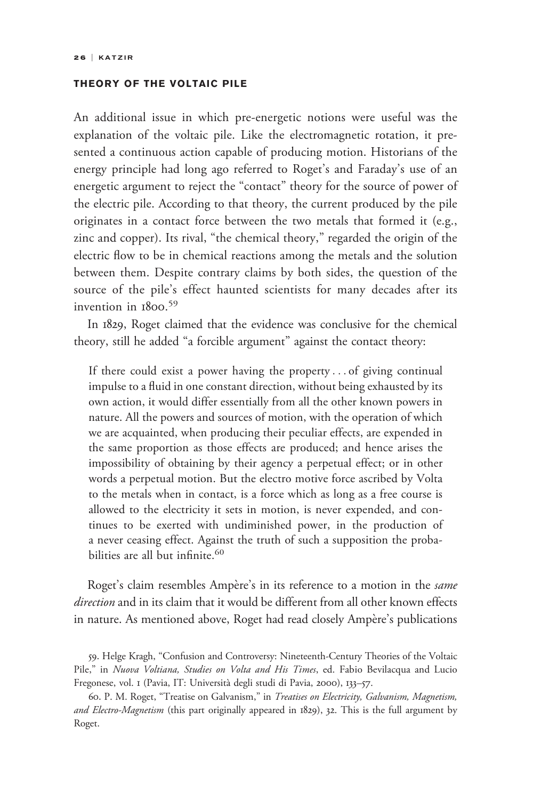## THEORY OF THE VOLTAIC PILE

An additional issue in which pre-energetic notions were useful was the explanation of the voltaic pile. Like the electromagnetic rotation, it presented a continuous action capable of producing motion. Historians of the energy principle had long ago referred to Roget's and Faraday's use of an energetic argument to reject the "contact" theory for the source of power of the electric pile. According to that theory, the current produced by the pile originates in a contact force between the two metals that formed it (e.g., zinc and copper). Its rival, "the chemical theory," regarded the origin of the electric flow to be in chemical reactions among the metals and the solution between them. Despite contrary claims by both sides, the question of the source of the pile's effect haunted scientists for many decades after its invention in 1800. 59

In 1829, Roget claimed that the evidence was conclusive for the chemical theory, still he added "a forcible argument" against the contact theory:

If there could exist a power having the property ... of giving continual impulse to a fluid in one constant direction, without being exhausted by its own action, it would differ essentially from all the other known powers in nature. All the powers and sources of motion, with the operation of which we are acquainted, when producing their peculiar effects, are expended in the same proportion as those effects are produced; and hence arises the impossibility of obtaining by their agency a perpetual effect; or in other words a perpetual motion. But the electro motive force ascribed by Volta to the metals when in contact, is a force which as long as a free course is allowed to the electricity it sets in motion, is never expended, and continues to be exerted with undiminished power, in the production of a never ceasing effect. Against the truth of such a supposition the probabilities are all but infinite.<sup>60</sup>

Roget's claim resembles Ampère's in its reference to a motion in the *same* direction and in its claim that it would be different from all other known effects in nature. As mentioned above, Roget had read closely Ampère's publications

59. Helge Kragh, "Confusion and Controversy: Nineteenth-Century Theories of the Voltaic Pile," in Nuova Voltiana, Studies on Volta and His Times, ed. Fabio Bevilacqua and Lucio Fregonese, vol. 1 (Pavia, IT: Universita` degli studi di Pavia, 2000), 133–57.

60. P. M. Roget, "Treatise on Galvanism," in Treatises on Electricity, Galvanism, Magnetism, and Electro-Magnetism (this part originally appeared in 1829), 32. This is the full argument by Roget.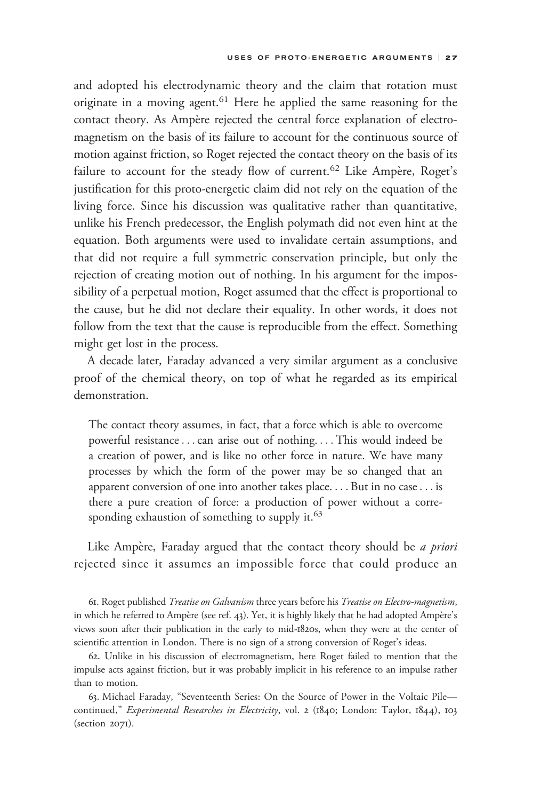and adopted his electrodynamic theory and the claim that rotation must originate in a moving agent.<sup>61</sup> Here he applied the same reasoning for the contact theory. As Ampère rejected the central force explanation of electromagnetism on the basis of its failure to account for the continuous source of motion against friction, so Roget rejected the contact theory on the basis of its failure to account for the steady flow of current.<sup>62</sup> Like Ampère, Roget's justification for this proto-energetic claim did not rely on the equation of the living force. Since his discussion was qualitative rather than quantitative, unlike his French predecessor, the English polymath did not even hint at the equation. Both arguments were used to invalidate certain assumptions, and that did not require a full symmetric conservation principle, but only the rejection of creating motion out of nothing. In his argument for the impossibility of a perpetual motion, Roget assumed that the effect is proportional to the cause, but he did not declare their equality. In other words, it does not follow from the text that the cause is reproducible from the effect. Something might get lost in the process.

A decade later, Faraday advanced a very similar argument as a conclusive proof of the chemical theory, on top of what he regarded as its empirical demonstration.

The contact theory assumes, in fact, that a force which is able to overcome powerful resistance...can arise out of nothing. ... This would indeed be a creation of power, and is like no other force in nature. We have many processes by which the form of the power may be so changed that an apparent conversion of one into another takes place. ... But in no case... is there a pure creation of force: a production of power without a corresponding exhaustion of something to supply it. $63$ 

Like Ampère, Faraday argued that the contact theory should be *a priori* rejected since it assumes an impossible force that could produce an

61. Roget published Treatise on Galvanism three years before his Treatise on Electro-magnetism, in which he referred to Ampère (see ref. 43). Yet, it is highly likely that he had adopted Ampère's views soon after their publication in the early to mid-1820s, when they were at the center of scientific attention in London. There is no sign of a strong conversion of Roget's ideas.

62. Unlike in his discussion of electromagnetism, here Roget failed to mention that the impulse acts against friction, but it was probably implicit in his reference to an impulse rather than to motion.

63. Michael Faraday, "Seventeenth Series: On the Source of Power in the Voltaic Pile continued," Experimental Researches in Electricity, vol. 2 (1840; London: Taylor, 1844), 103 (section 2071).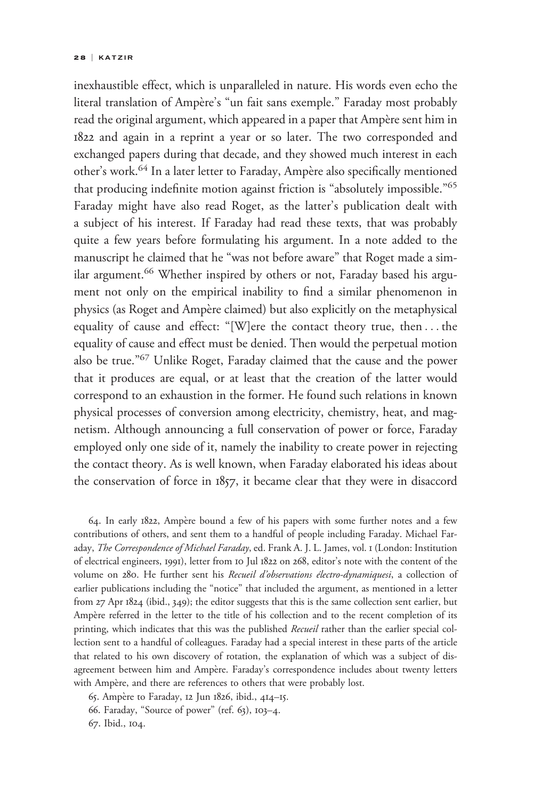inexhaustible effect, which is unparalleled in nature. His words even echo the literal translation of Ampère's "un fait sans exemple." Faraday most probably read the original argument, which appeared in a paper that Ampère sent him in 1822 and again in a reprint a year or so later. The two corresponded and exchanged papers during that decade, and they showed much interest in each other's work.<sup>64</sup> In a later letter to Faraday, Ampère also specifically mentioned that producing indefinite motion against friction is "absolutely impossible."<sup>65</sup> Faraday might have also read Roget, as the latter's publication dealt with a subject of his interest. If Faraday had read these texts, that was probably quite a few years before formulating his argument. In a note added to the manuscript he claimed that he "was not before aware" that Roget made a similar argument.<sup>66</sup> Whether inspired by others or not, Faraday based his argument not only on the empirical inability to find a similar phenomenon in physics (as Roget and Ampère claimed) but also explicitly on the metaphysical equality of cause and effect: "[W]ere the contact theory true, then ... the equality of cause and effect must be denied. Then would the perpetual motion also be true."<sup>67</sup> Unlike Roget, Faraday claimed that the cause and the power that it produces are equal, or at least that the creation of the latter would correspond to an exhaustion in the former. He found such relations in known physical processes of conversion among electricity, chemistry, heat, and magnetism. Although announcing a full conservation of power or force, Faraday employed only one side of it, namely the inability to create power in rejecting the contact theory. As is well known, when Faraday elaborated his ideas about the conservation of force in 1857, it became clear that they were in disaccord

64. In early 1822, Ampère bound a few of his papers with some further notes and a few contributions of others, and sent them to a handful of people including Faraday. Michael Faraday, The Correspondence of Michael Faraday, ed. Frank A. J. L. James, vol. 1 (London: Institution of electrical engineers, 1991), letter from 10 Jul 1822 on 268, editor's note with the content of the volume on 280. He further sent his Recueil d'observations électro-dynamiquesi, a collection of earlier publications including the "notice" that included the argument, as mentioned in a letter from 27 Apr 1824 (ibid., 349); the editor suggests that this is the same collection sent earlier, but Ampère referred in the letter to the title of his collection and to the recent completion of its printing, which indicates that this was the published Recueil rather than the earlier special collection sent to a handful of colleagues. Faraday had a special interest in these parts of the article that related to his own discovery of rotation, the explanation of which was a subject of disagreement between him and Ampère. Faraday's correspondence includes about twenty letters with Ampère, and there are references to others that were probably lost.

65. Ampère to Faraday, 12 Jun 1826, ibid., 414-15.

66. Faraday, "Source of power" (ref. 63), 103–4.

67. Ibid., 104.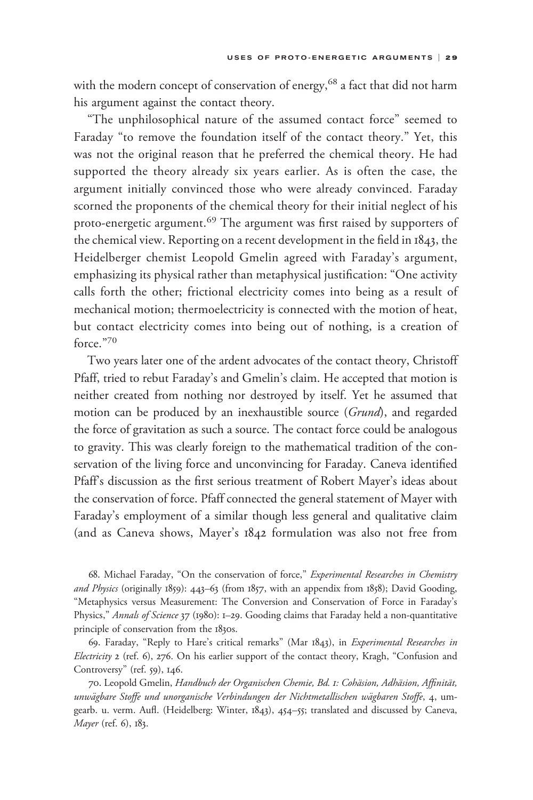with the modern concept of conservation of energy,<sup>68</sup> a fact that did not harm his argument against the contact theory.

"The unphilosophical nature of the assumed contact force" seemed to Faraday "to remove the foundation itself of the contact theory." Yet, this was not the original reason that he preferred the chemical theory. He had supported the theory already six years earlier. As is often the case, the argument initially convinced those who were already convinced. Faraday scorned the proponents of the chemical theory for their initial neglect of his proto-energetic argument.<sup>69</sup> The argument was first raised by supporters of the chemical view. Reporting on a recent development in the field in 1843, the Heidelberger chemist Leopold Gmelin agreed with Faraday's argument, emphasizing its physical rather than metaphysical justification: "One activity calls forth the other; frictional electricity comes into being as a result of mechanical motion; thermoelectricity is connected with the motion of heat, but contact electricity comes into being out of nothing, is a creation of force."<sup>70</sup>

Two years later one of the ardent advocates of the contact theory, Christoff Pfaff, tried to rebut Faraday's and Gmelin's claim. He accepted that motion is neither created from nothing nor destroyed by itself. Yet he assumed that motion can be produced by an inexhaustible source (Grund), and regarded the force of gravitation as such a source. The contact force could be analogous to gravity. This was clearly foreign to the mathematical tradition of the conservation of the living force and unconvincing for Faraday. Caneva identified Pfaff's discussion as the first serious treatment of Robert Mayer's ideas about the conservation of force. Pfaff connected the general statement of Mayer with Faraday's employment of a similar though less general and qualitative claim (and as Caneva shows, Mayer's 1842 formulation was also not free from

68. Michael Faraday, "On the conservation of force," Experimental Researches in Chemistry and Physics (originally 1859): 443-63 (from 1857, with an appendix from 1858); David Gooding, "Metaphysics versus Measurement: The Conversion and Conservation of Force in Faraday's Physics," Annals of Science 37 (1980): 1-29. Gooding claims that Faraday held a non-quantitative principle of conservation from the 1830s.

69. Faraday, "Reply to Hare's critical remarks" (Mar 1843), in Experimental Researches in Electricity 2 (ref. 6), 276. On his earlier support of the contact theory, Kragh, "Confusion and Controversy" (ref. 59), 146.

70. Leopold Gmelin, Handbuch der Organischen Chemie, Bd. 1: Cohäsion, Adhäsion, Affinität, unwägbare Stoffe und unorganische Verbindungen der Nichtmetallischen wägbaren Stoffe, 4, umgearb. u. verm. Aufl. (Heidelberg: Winter, 1843), 454–55; translated and discussed by Caneva, Mayer (ref. 6), 183.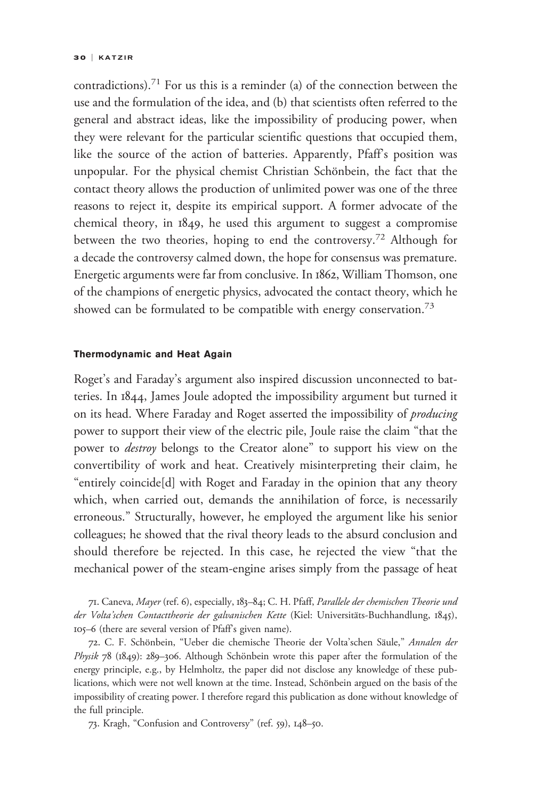contradictions).<sup>71</sup> For us this is a reminder (a) of the connection between the use and the formulation of the idea, and (b) that scientists often referred to the general and abstract ideas, like the impossibility of producing power, when they were relevant for the particular scientific questions that occupied them, like the source of the action of batteries. Apparently, Pfaff's position was unpopular. For the physical chemist Christian Schönbein, the fact that the contact theory allows the production of unlimited power was one of the three reasons to reject it, despite its empirical support. A former advocate of the chemical theory, in 1849, he used this argument to suggest a compromise between the two theories, hoping to end the controversy.<sup>72</sup> Although for a decade the controversy calmed down, the hope for consensus was premature. Energetic arguments were far from conclusive. In 1862, William Thomson, one of the champions of energetic physics, advocated the contact theory, which he showed can be formulated to be compatible with energy conservation.<sup>73</sup>

### Thermodynamic and Heat Again

Roget's and Faraday's argument also inspired discussion unconnected to batteries. In 1844, James Joule adopted the impossibility argument but turned it on its head. Where Faraday and Roget asserted the impossibility of *producing* power to support their view of the electric pile, Joule raise the claim "that the power to destroy belongs to the Creator alone" to support his view on the convertibility of work and heat. Creatively misinterpreting their claim, he "entirely coincide[d] with Roget and Faraday in the opinion that any theory which, when carried out, demands the annihilation of force, is necessarily erroneous." Structurally, however, he employed the argument like his senior colleagues; he showed that the rival theory leads to the absurd conclusion and should therefore be rejected. In this case, he rejected the view "that the mechanical power of the steam-engine arises simply from the passage of heat

71. Caneva, Mayer (ref. 6), especially, 183–84; C. H. Pfaff, Parallele der chemischen Theorie und der Volta'schen Contacttheorie der galvanischen Kette (Kiel: Universitäts-Buchhandlung, 1845), 105–6 (there are several version of Pfaff's given name).

72. C. F. Schönbein, "Ueber die chemische Theorie der Volta'schen Säule," Annalen der Physik 78 (1849): 289–306. Although Schönbein wrote this paper after the formulation of the energy principle, e.g., by Helmholtz, the paper did not disclose any knowledge of these publications, which were not well known at the time. Instead, Schönbein argued on the basis of the impossibility of creating power. I therefore regard this publication as done without knowledge of the full principle.

73. Kragh, "Confusion and Controversy" (ref. 59), 148–50.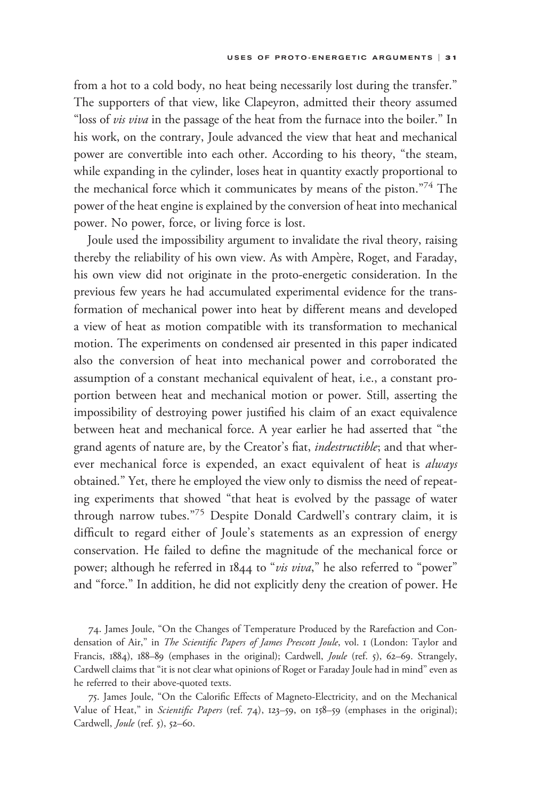from a hot to a cold body, no heat being necessarily lost during the transfer." The supporters of that view, like Clapeyron, admitted their theory assumed "loss of vis viva in the passage of the heat from the furnace into the boiler." In his work, on the contrary, Joule advanced the view that heat and mechanical power are convertible into each other. According to his theory, "the steam, while expanding in the cylinder, loses heat in quantity exactly proportional to the mechanical force which it communicates by means of the piston."74 The power of the heat engine is explained by the conversion of heat into mechanical power. No power, force, or living force is lost.

Joule used the impossibility argument to invalidate the rival theory, raising thereby the reliability of his own view. As with Ampère, Roget, and Faraday, his own view did not originate in the proto-energetic consideration. In the previous few years he had accumulated experimental evidence for the transformation of mechanical power into heat by different means and developed a view of heat as motion compatible with its transformation to mechanical motion. The experiments on condensed air presented in this paper indicated also the conversion of heat into mechanical power and corroborated the assumption of a constant mechanical equivalent of heat, i.e., a constant proportion between heat and mechanical motion or power. Still, asserting the impossibility of destroying power justified his claim of an exact equivalence between heat and mechanical force. A year earlier he had asserted that "the grand agents of nature are, by the Creator's fiat, *indestructible*; and that wherever mechanical force is expended, an exact equivalent of heat is always obtained." Yet, there he employed the view only to dismiss the need of repeating experiments that showed "that heat is evolved by the passage of water through narrow tubes."<sup>75</sup> Despite Donald Cardwell's contrary claim, it is difficult to regard either of Joule's statements as an expression of energy conservation. He failed to define the magnitude of the mechanical force or power; although he referred in 1844 to "vis viva," he also referred to "power" and "force." In addition, he did not explicitly deny the creation of power. He

74. James Joule, "On the Changes of Temperature Produced by the Rarefaction and Condensation of Air," in *The Scientific Papers of James Prescott Joule*, vol. 1 (London: Taylor and Francis, 1884), 188-89 (emphases in the original); Cardwell, *Joule* (ref. 5), 62-69. Strangely, Cardwell claims that "it is not clear what opinions of Roget or Faraday Joule had in mind" even as he referred to their above-quoted texts.

75. James Joule, "On the Calorific Effects of Magneto-Electricity, and on the Mechanical Value of Heat," in Scientific Papers (ref. 74), 123-59, on 158-59 (emphases in the original); Cardwell, Joule (ref. 5), 52–60.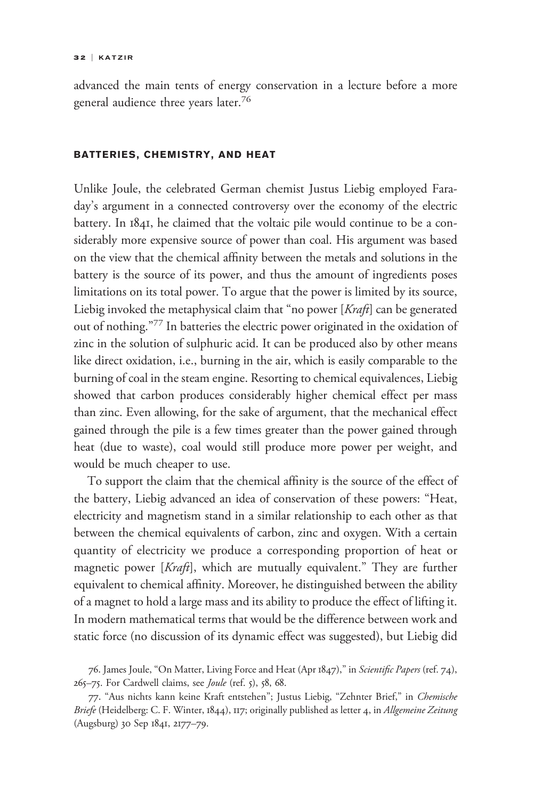advanced the main tents of energy conservation in a lecture before a more general audience three years later.<sup>76</sup>

### BATTERIES, CHEMISTRY, AND HEAT

Unlike Joule, the celebrated German chemist Justus Liebig employed Faraday's argument in a connected controversy over the economy of the electric battery. In 1841, he claimed that the voltaic pile would continue to be a considerably more expensive source of power than coal. His argument was based on the view that the chemical affinity between the metals and solutions in the battery is the source of its power, and thus the amount of ingredients poses limitations on its total power. To argue that the power is limited by its source, Liebig invoked the metaphysical claim that "no power [Kraft] can be generated out of nothing."<sup>77</sup> In batteries the electric power originated in the oxidation of zinc in the solution of sulphuric acid. It can be produced also by other means like direct oxidation, i.e., burning in the air, which is easily comparable to the burning of coal in the steam engine. Resorting to chemical equivalences, Liebig showed that carbon produces considerably higher chemical effect per mass than zinc. Even allowing, for the sake of argument, that the mechanical effect gained through the pile is a few times greater than the power gained through heat (due to waste), coal would still produce more power per weight, and would be much cheaper to use.

To support the claim that the chemical affinity is the source of the effect of the battery, Liebig advanced an idea of conservation of these powers: "Heat, electricity and magnetism stand in a similar relationship to each other as that between the chemical equivalents of carbon, zinc and oxygen. With a certain quantity of electricity we produce a corresponding proportion of heat or magnetic power [Kraft], which are mutually equivalent." They are further equivalent to chemical affinity. Moreover, he distinguished between the ability of a magnet to hold a large mass and its ability to produce the effect of lifting it. In modern mathematical terms that would be the difference between work and static force (no discussion of its dynamic effect was suggested), but Liebig did

76. James Joule, "On Matter, Living Force and Heat (Apr 1847)," in Scientific Papers (ref. 74), 265–75. For Cardwell claims, see Joule (ref. 5), 58, 68.

77. "Aus nichts kann keine Kraft entstehen"; Justus Liebig, "Zehnter Brief," in Chemische Briefe (Heidelberg: C. F. Winter, 1844), 117; originally published as letter 4, in Allgemeine Zeitung (Augsburg) 30 Sep 1841, 2177–79.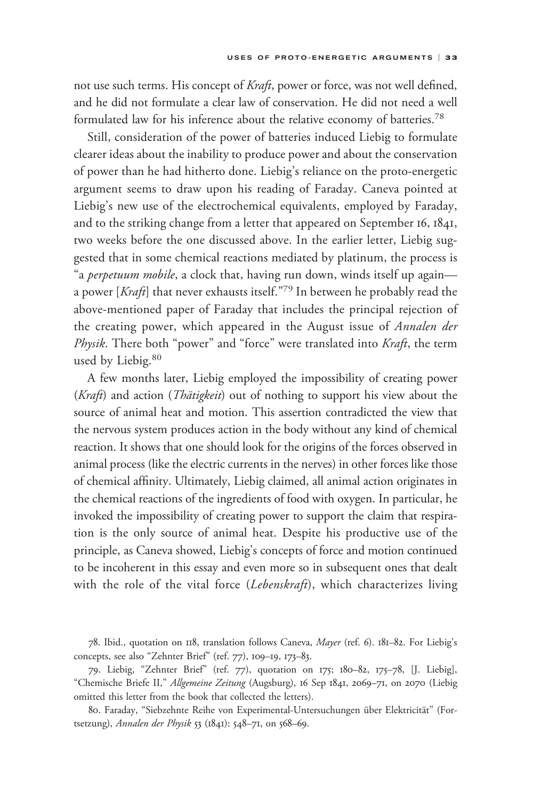not use such terms. His concept of Kraft, power or force, was not well defined, and he did not formulate a clear law of conservation. He did not need a well formulated law for his inference about the relative economy of batteries.<sup>78</sup>

Still, consideration of the power of batteries induced Liebig to formulate clearer ideas about the inability to produce power and about the conservation of power than he had hitherto done. Liebig's reliance on the proto-energetic argument seems to draw upon his reading of Faraday. Caneva pointed at Liebig's new use of the electrochemical equivalents, employed by Faraday, and to the striking change from a letter that appeared on September 16, 1841, two weeks before the one discussed above. In the earlier letter, Liebig suggested that in some chemical reactions mediated by platinum, the process is "a perpetuum mobile, a clock that, having run down, winds itself up againa power  $[Kraft]$  that never exhausts itself."<sup>79</sup> In between he probably read the above-mentioned paper of Faraday that includes the principal rejection of the creating power, which appeared in the August issue of *Annalen der* Physik. There both "power" and "force" were translated into Kraft, the term used by Liebig.<sup>80</sup>

A few months later, Liebig employed the impossibility of creating power (Kraft) and action (Thätigkeit) out of nothing to support his view about the source of animal heat and motion. This assertion contradicted the view that the nervous system produces action in the body without any kind of chemical reaction. It shows that one should look for the origins of the forces observed in animal process (like the electric currents in the nerves) in other forces like those of chemical affinity. Ultimately, Liebig claimed, all animal action originates in the chemical reactions of the ingredients of food with oxygen. In particular, he invoked the impossibility of creating power to support the claim that respiration is the only source of animal heat. Despite his productive use of the principle, as Caneva showed, Liebig's concepts of force and motion continued to be incoherent in this essay and even more so in subsequent ones that dealt with the role of the vital force (Lebenskraft), which characterizes living

78. Ibid., quotation on 118, translation follows Caneva, Mayer (ref. 6). 181–82. For Liebig's concepts, see also "Zehnter Brief" (ref. 77), 109–19, 173–83.

79. Liebig, "Zehnter Brief" (ref. 77), quotation on 175; 180–82, 175–78, [J. Liebig], "Chemische Briefe II," Allgemeine Zeitung (Augsburg), 16 Sep 1841, 2069–71, on 2070 (Liebig omitted this letter from the book that collected the letters).

80. Faraday, "Siebzehnte Reihe von Experimental-Untersuchungen über Elektricität" (Fortsetzung), Annalen der Physik 53 (1841): 548–71, on 568–69.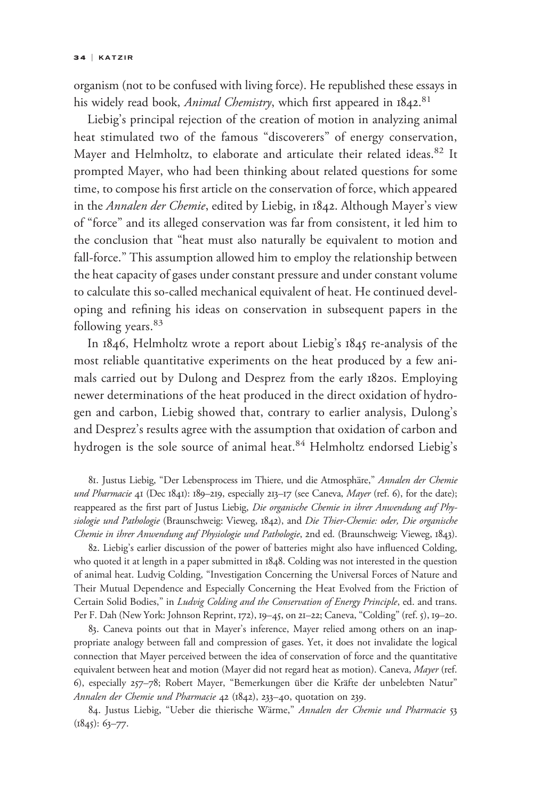organism (not to be confused with living force). He republished these essays in his widely read book, Animal Chemistry, which first appeared in 1842.<sup>81</sup>

Liebig's principal rejection of the creation of motion in analyzing animal heat stimulated two of the famous "discoverers" of energy conservation, Mayer and Helmholtz, to elaborate and articulate their related ideas.<sup>82</sup> It prompted Mayer, who had been thinking about related questions for some time, to compose his first article on the conservation of force, which appeared in the Annalen der Chemie, edited by Liebig, in 1842. Although Mayer's view of "force" and its alleged conservation was far from consistent, it led him to the conclusion that "heat must also naturally be equivalent to motion and fall-force." This assumption allowed him to employ the relationship between the heat capacity of gases under constant pressure and under constant volume to calculate this so-called mechanical equivalent of heat. He continued developing and refining his ideas on conservation in subsequent papers in the following years.<sup>83</sup>

In 1846, Helmholtz wrote a report about Liebig's 1845 re-analysis of the most reliable quantitative experiments on the heat produced by a few animals carried out by Dulong and Desprez from the early 1820s. Employing newer determinations of the heat produced in the direct oxidation of hydrogen and carbon, Liebig showed that, contrary to earlier analysis, Dulong's and Desprez's results agree with the assumption that oxidation of carbon and hydrogen is the sole source of animal heat.<sup>84</sup> Helmholtz endorsed Liebig's

81. Justus Liebig, "Der Lebensprocess im Thiere, und die Atmosphäre," Annalen der Chemie und Pharmacie 41 (Dec 1841): 189-219, especially 213-17 (see Caneva, Mayer (ref. 6), for the date); reappeared as the first part of Justus Liebig, Die organische Chemie in ihrer Anwendung auf Physiologie und Pathologie (Braunschweig: Vieweg, 1842), and Die Thier-Chemie: oder, Die organische Chemie in ihrer Anwendung auf Physiologie und Pathologie, 2nd ed. (Braunschweig: Vieweg, 1843).

82. Liebig's earlier discussion of the power of batteries might also have influenced Colding, who quoted it at length in a paper submitted in 1848. Colding was not interested in the question of animal heat. Ludvig Colding, "Investigation Concerning the Universal Forces of Nature and Their Mutual Dependence and Especially Concerning the Heat Evolved from the Friction of Certain Solid Bodies," in Ludvig Colding and the Conservation of Energy Principle, ed. and trans. Per F. Dah (New York: Johnson Reprint, 172), 19–45, on 21–22; Caneva, "Colding" (ref. 5), 19–20.

83. Caneva points out that in Mayer's inference, Mayer relied among others on an inappropriate analogy between fall and compression of gases. Yet, it does not invalidate the logical connection that Mayer perceived between the idea of conservation of force and the quantitative equivalent between heat and motion (Mayer did not regard heat as motion). Caneva, Mayer (ref. 6), especially 257–78; Robert Mayer, "Bemerkungen über die Kräfte der unbelebten Natur" Annalen der Chemie und Pharmacie 42 (1842), 233-40, quotation on 239.

84. Justus Liebig, "Ueber die thierische Wärme," Annalen der Chemie und Pharmacie 53  $(1845): 63 - 77.$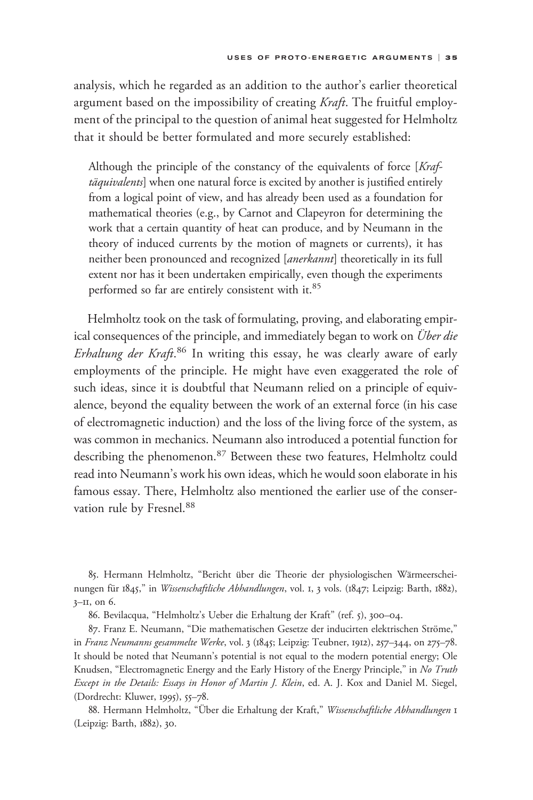analysis, which he regarded as an addition to the author's earlier theoretical argument based on the impossibility of creating Kraft. The fruitful employment of the principal to the question of animal heat suggested for Helmholtz that it should be better formulated and more securely established:

Although the principle of the constancy of the equivalents of force [Kraftäquivalents] when one natural force is excited by another is justified entirely from a logical point of view, and has already been used as a foundation for mathematical theories (e.g., by Carnot and Clapeyron for determining the work that a certain quantity of heat can produce, and by Neumann in the theory of induced currents by the motion of magnets or currents), it has neither been pronounced and recognized [*anerkannt*] theoretically in its full extent nor has it been undertaken empirically, even though the experiments performed so far are entirely consistent with it.<sup>85</sup>

Helmholtz took on the task of formulating, proving, and elaborating empirical consequences of the principle, and immediately began to work on *Über die* Erhaltung der Kraft.<sup>86</sup> In writing this essay, he was clearly aware of early employments of the principle. He might have even exaggerated the role of such ideas, since it is doubtful that Neumann relied on a principle of equivalence, beyond the equality between the work of an external force (in his case of electromagnetic induction) and the loss of the living force of the system, as was common in mechanics. Neumann also introduced a potential function for describing the phenomenon.<sup>87</sup> Between these two features, Helmholtz could read into Neumann's work his own ideas, which he would soon elaborate in his famous essay. There, Helmholtz also mentioned the earlier use of the conservation rule by Fresnel.<sup>88</sup>

85. Hermann Helmholtz, "Bericht über die Theorie der physiologischen Wärmeerscheinungen für 1845," in Wissenschaftliche Abhandlungen, vol. 1, 3 vols. (1847; Leipzig: Barth, 1882),  $3$ – $II$ , on 6.

86. Bevilacqua, "Helmholtz's Ueber die Erhaltung der Kraft" (ref. 5), 300–04.

87. Franz E. Neumann, "Die mathematischen Gesetze der inducirten elektrischen Ströme," in Franz Neumanns gesammelte Werke, vol. 3 (1845; Leipzig: Teubner, 1912), 257–344, on 275–78. It should be noted that Neumann's potential is not equal to the modern potential energy; Ole Knudsen, "Electromagnetic Energy and the Early History of the Energy Principle," in No Truth Except in the Details: Essays in Honor of Martin J. Klein, ed. A. J. Kox and Daniel M. Siegel, (Dordrecht: Kluwer, 1995), 55–78.

88. Hermann Helmholtz, "Über die Erhaltung der Kraft," Wissenschaftliche Abhandlungen 1 (Leipzig: Barth, 1882), 30.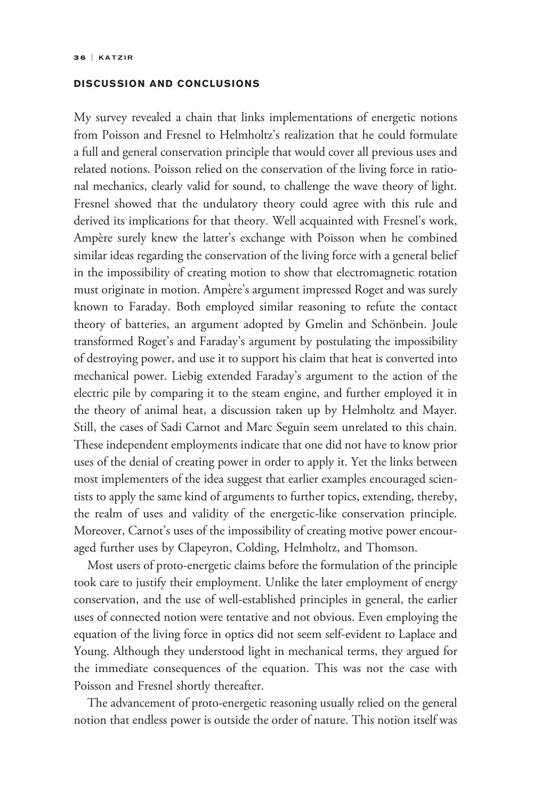## DISCUSSION AND CONCLUSIONS

My survey revealed a chain that links implementations of energetic notions from Poisson and Fresnel to Helmholtz's realization that he could formulate a full and general conservation principle that would cover all previous uses and related notions. Poisson relied on the conservation of the living force in rational mechanics, clearly valid for sound, to challenge the wave theory of light. Fresnel showed that the undulatory theory could agree with this rule and derived its implications for that theory. Well acquainted with Fresnel's work, Ampère surely knew the latter's exchange with Poisson when he combined similar ideas regarding the conservation of the living force with a general belief in the impossibility of creating motion to show that electromagnetic rotation must originate in motion. Ampère's argument impressed Roget and was surely known to Faraday. Both employed similar reasoning to refute the contact theory of batteries, an argument adopted by Gmelin and Schönbein. Joule transformed Roget's and Faraday's argument by postulating the impossibility of destroying power, and use it to support his claim that heat is converted into mechanical power. Liebig extended Faraday's argument to the action of the electric pile by comparing it to the steam engine, and further employed it in the theory of animal heat, a discussion taken up by Helmholtz and Mayer. Still, the cases of Sadi Carnot and Marc Seguin seem unrelated to this chain. These independent employments indicate that one did not have to know prior uses of the denial of creating power in order to apply it. Yet the links between most implementers of the idea suggest that earlier examples encouraged scientists to apply the same kind of arguments to further topics, extending, thereby, the realm of uses and validity of the energetic-like conservation principle. Moreover, Carnot's uses of the impossibility of creating motive power encouraged further uses by Clapeyron, Colding, Helmholtz, and Thomson.

Most users of proto-energetic claims before the formulation of the principle took care to justify their employment. Unlike the later employment of energy conservation, and the use of well-established principles in general, the earlier uses of connected notion were tentative and not obvious. Even employing the equation of the living force in optics did not seem self-evident to Laplace and Young. Although they understood light in mechanical terms, they argued for the immediate consequences of the equation. This was not the case with Poisson and Fresnel shortly thereafter.

The advancement of proto-energetic reasoning usually relied on the general notion that endless power is outside the order of nature. This notion itself was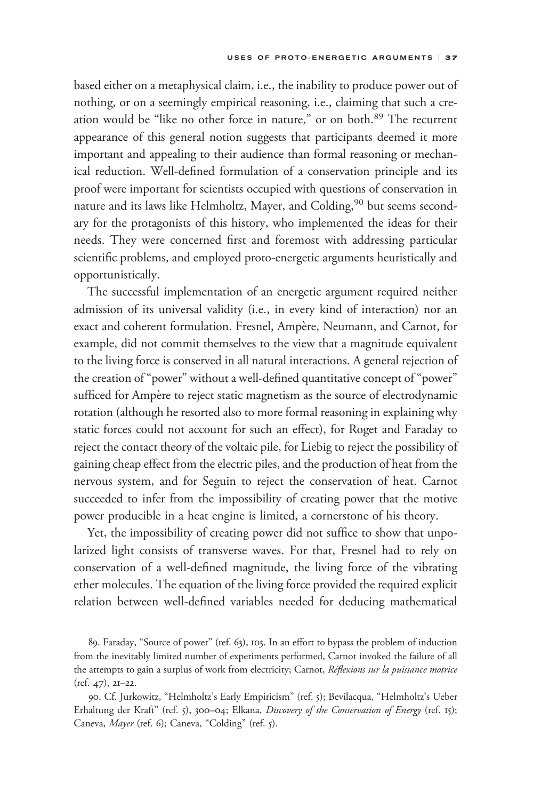based either on a metaphysical claim, i.e., the inability to produce power out of nothing, or on a seemingly empirical reasoning, i.e., claiming that such a creation would be "like no other force in nature," or on both.<sup>89</sup> The recurrent appearance of this general notion suggests that participants deemed it more important and appealing to their audience than formal reasoning or mechanical reduction. Well-defined formulation of a conservation principle and its proof were important for scientists occupied with questions of conservation in nature and its laws like Helmholtz, Mayer, and Colding,<sup>90</sup> but seems secondary for the protagonists of this history, who implemented the ideas for their needs. They were concerned first and foremost with addressing particular scientific problems, and employed proto-energetic arguments heuristically and opportunistically.

The successful implementation of an energetic argument required neither admission of its universal validity (i.e., in every kind of interaction) nor an exact and coherent formulation. Fresnel, Ampère, Neumann, and Carnot, for example, did not commit themselves to the view that a magnitude equivalent to the living force is conserved in all natural interactions. A general rejection of the creation of "power" without a well-defined quantitative concept of "power" sufficed for Ampère to reject static magnetism as the source of electrodynamic rotation (although he resorted also to more formal reasoning in explaining why static forces could not account for such an effect), for Roget and Faraday to reject the contact theory of the voltaic pile, for Liebig to reject the possibility of gaining cheap effect from the electric piles, and the production of heat from the nervous system, and for Seguin to reject the conservation of heat. Carnot succeeded to infer from the impossibility of creating power that the motive power producible in a heat engine is limited, a cornerstone of his theory.

Yet, the impossibility of creating power did not suffice to show that unpolarized light consists of transverse waves. For that, Fresnel had to rely on conservation of a well-defined magnitude, the living force of the vibrating ether molecules. The equation of the living force provided the required explicit relation between well-defined variables needed for deducing mathematical

89. Faraday, "Source of power" (ref. 63), 103. In an effort to bypass the problem of induction from the inevitably limited number of experiments performed, Carnot invoked the failure of all the attempts to gain a surplus of work from electricity; Carnot, Réflexions sur la puissance motrice (ref. 47), 21–22.

90. Cf. Jurkowitz, "Helmholtz's Early Empiricism" (ref. 5); Bevilacqua, "Helmholtz's Ueber Erhaltung der Kraft" (ref. 5), 300-04; Elkana, Discovery of the Conservation of Energy (ref. 15); Caneva, Mayer (ref. 6); Caneva, "Colding" (ref. 5).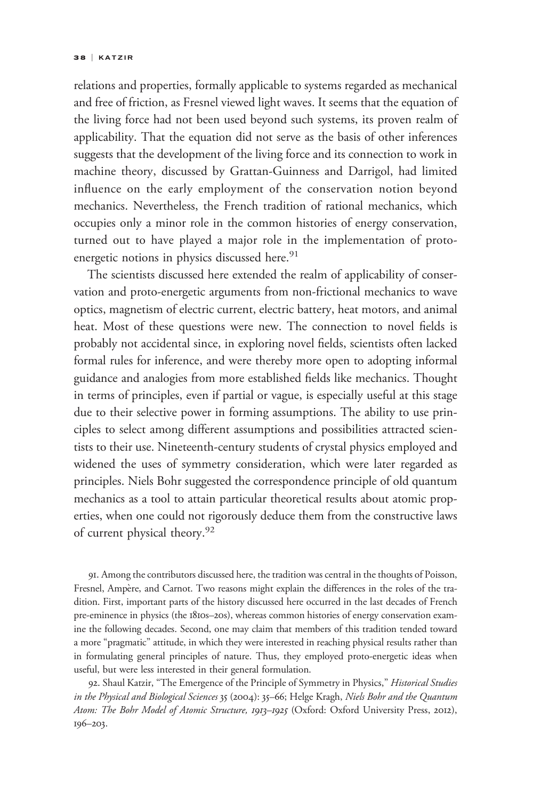relations and properties, formally applicable to systems regarded as mechanical and free of friction, as Fresnel viewed light waves. It seems that the equation of the living force had not been used beyond such systems, its proven realm of applicability. That the equation did not serve as the basis of other inferences suggests that the development of the living force and its connection to work in machine theory, discussed by Grattan-Guinness and Darrigol, had limited influence on the early employment of the conservation notion beyond mechanics. Nevertheless, the French tradition of rational mechanics, which occupies only a minor role in the common histories of energy conservation, turned out to have played a major role in the implementation of protoenergetic notions in physics discussed here.<sup>91</sup>

The scientists discussed here extended the realm of applicability of conservation and proto-energetic arguments from non-frictional mechanics to wave optics, magnetism of electric current, electric battery, heat motors, and animal heat. Most of these questions were new. The connection to novel fields is probably not accidental since, in exploring novel fields, scientists often lacked formal rules for inference, and were thereby more open to adopting informal guidance and analogies from more established fields like mechanics. Thought in terms of principles, even if partial or vague, is especially useful at this stage due to their selective power in forming assumptions. The ability to use principles to select among different assumptions and possibilities attracted scientists to their use. Nineteenth-century students of crystal physics employed and widened the uses of symmetry consideration, which were later regarded as principles. Niels Bohr suggested the correspondence principle of old quantum mechanics as a tool to attain particular theoretical results about atomic properties, when one could not rigorously deduce them from the constructive laws of current physical theory.<sup>92</sup>

91. Among the contributors discussed here, the tradition was central in the thoughts of Poisson, Fresnel, Ampère, and Carnot. Two reasons might explain the differences in the roles of the tradition. First, important parts of the history discussed here occurred in the last decades of French pre-eminence in physics (the 1810s–20s), whereas common histories of energy conservation examine the following decades. Second, one may claim that members of this tradition tended toward a more "pragmatic" attitude, in which they were interested in reaching physical results rather than in formulating general principles of nature. Thus, they employed proto-energetic ideas when useful, but were less interested in their general formulation.

92. Shaul Katzir, "The Emergence of the Principle of Symmetry in Physics," Historical Studies in the Physical and Biological Sciences 35 (2004): 35–66; Helge Kragh, Niels Bohr and the Quantum Atom: The Bohr Model of Atomic Structure, 1913-1925 (Oxford: Oxford University Press, 2012), 196–203.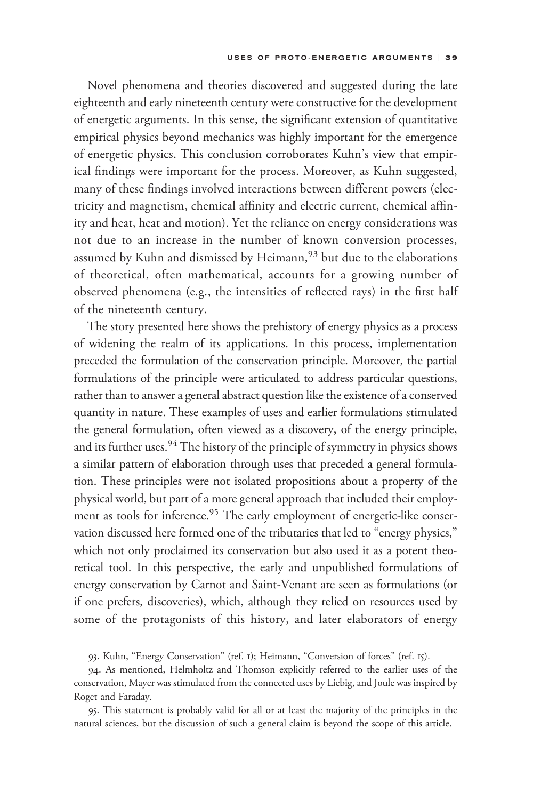Novel phenomena and theories discovered and suggested during the late eighteenth and early nineteenth century were constructive for the development of energetic arguments. In this sense, the significant extension of quantitative empirical physics beyond mechanics was highly important for the emergence of energetic physics. This conclusion corroborates Kuhn's view that empirical findings were important for the process. Moreover, as Kuhn suggested, many of these findings involved interactions between different powers (electricity and magnetism, chemical affinity and electric current, chemical affinity and heat, heat and motion). Yet the reliance on energy considerations was not due to an increase in the number of known conversion processes, assumed by Kuhn and dismissed by Heimann,<sup>93</sup> but due to the elaborations of theoretical, often mathematical, accounts for a growing number of observed phenomena (e.g., the intensities of reflected rays) in the first half of the nineteenth century.

The story presented here shows the prehistory of energy physics as a process of widening the realm of its applications. In this process, implementation preceded the formulation of the conservation principle. Moreover, the partial formulations of the principle were articulated to address particular questions, rather than to answer a general abstract question like the existence of a conserved quantity in nature. These examples of uses and earlier formulations stimulated the general formulation, often viewed as a discovery, of the energy principle, and its further uses.<sup>94</sup> The history of the principle of symmetry in physics shows a similar pattern of elaboration through uses that preceded a general formulation. These principles were not isolated propositions about a property of the physical world, but part of a more general approach that included their employment as tools for inference.<sup>95</sup> The early employment of energetic-like conservation discussed here formed one of the tributaries that led to "energy physics," which not only proclaimed its conservation but also used it as a potent theoretical tool. In this perspective, the early and unpublished formulations of energy conservation by Carnot and Saint-Venant are seen as formulations (or if one prefers, discoveries), which, although they relied on resources used by some of the protagonists of this history, and later elaborators of energy

93. Kuhn, "Energy Conservation" (ref. 1); Heimann, "Conversion of forces" (ref. 15).

94. As mentioned, Helmholtz and Thomson explicitly referred to the earlier uses of the conservation, Mayer was stimulated from the connected uses by Liebig, and Joule was inspired by Roget and Faraday.

95. This statement is probably valid for all or at least the majority of the principles in the natural sciences, but the discussion of such a general claim is beyond the scope of this article.